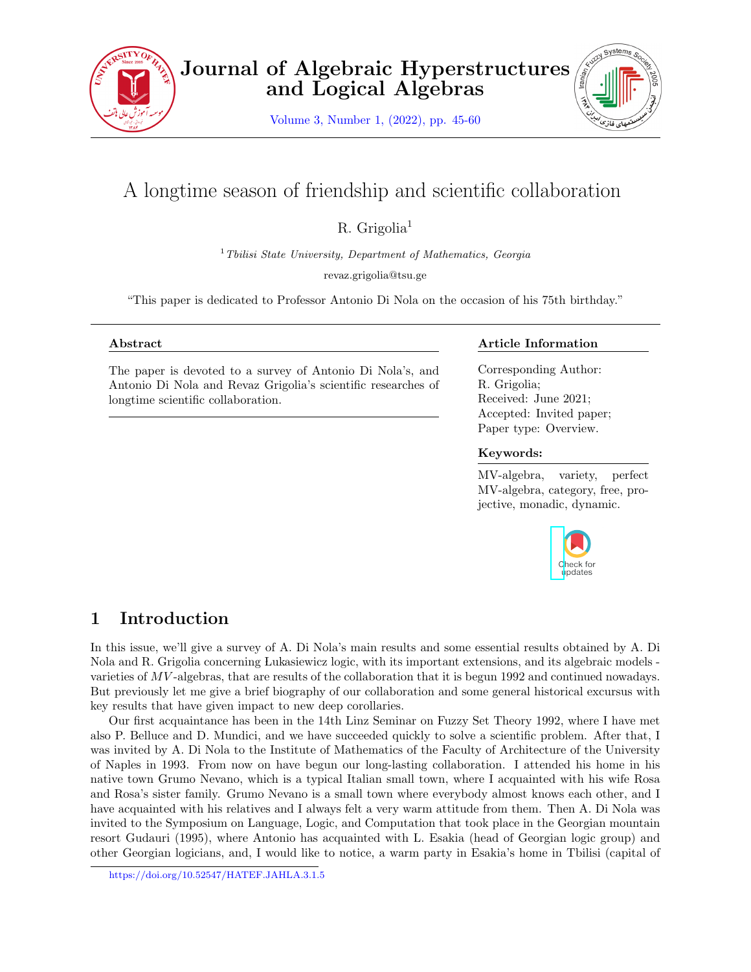

Volume 3, Number 1, (2022), pp. 45-60



# A longtime season of friendship and scientific collaboration

 $R.$  Grigolia<sup>1</sup>

<sup>1</sup>*Tbilisi State University, Department of Mathematics, Georgia*

revaz.grigolia@tsu.ge

"This paper is dedicated to Professor Antonio Di Nola on the occasion of his 75th birthday."

#### **Abstract**

The paper is devoted to a survey of Antonio Di Nola's, and Antonio Di Nola and Revaz Grigolia's scientific researches of longtime scientific collaboration.

#### **Article Information**

Corresponding Author: R. Grigolia; Received: June 2021; Accepted: Invited paper; Paper type: Overview.

#### **Keywords:**

MV-algebra, variety, perfect MV-algebra, category, free, projective, monadic, dynamic.



# **1 Introduction**

In this issue, we'll give a survey of A. Di Nola's main results and some essential results obtained by A. Di Nola and R. Grigolia concerning Lukasiewicz logic, with its important extensions, and its algebraic models varieties of *MV*-algebras, that are results of the collaboration that it is begun 1992 and continued nowadays. But previously let me give a brief biography of our collaboration and some general historical excursus with key results that have given impact to new deep corollaries.

Our first acquaintance has been in the 14th Linz Seminar on Fuzzy Set Theory 1992, where I have met also P. Belluce and D. Mundici, and we have succeeded quickly to solve a scientific problem. After that, I was invited by A. Di Nola to the Institute of Mathematics of the Faculty of Architecture of the University of Naples in 1993. From now on have begun our long-lasting collaboration. I attended his home in his native town Grumo Nevano, which is a typical Italian small town, where I acquainted with his wife Rosa and Rosa's sister family. Grumo Nevano is a small town where everybody almost knows each other, and I have acquainted with his relatives and I always felt a very warm attitude from them. Then A. Di Nola was invited to the Symposium on Language, Logic, and Computation that took place in the Georgian mountain resort Gudauri (1995), where Antonio has acquainted with L. Esakia (head of Georgian logic group) and other Georgian logicians, and, I would like to notice, a warm party in Esakia's home in Tbilisi (capital of

https://doi.org/10.52547/HATEF.JAHLA.3.1.5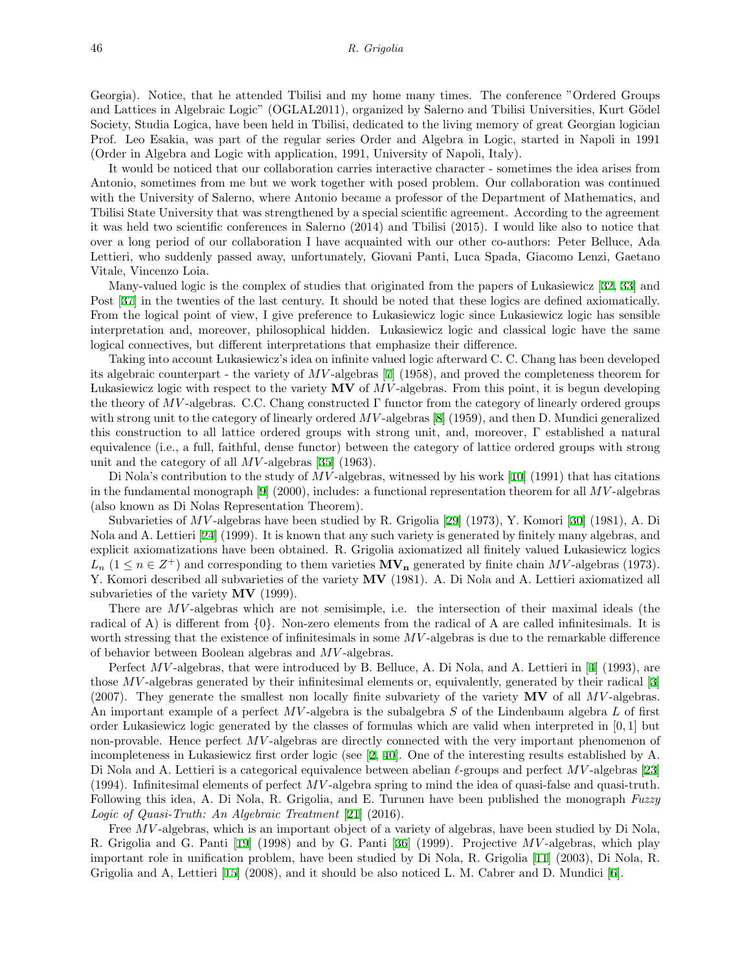Georgia). Notice, that he attended Tbilisi and my home many times. The conference "Ordered Groups and Lattices in Algebraic Logic" (OGLAL2011), organized by Salerno and Tbilisi Universities, Kurt Gödel Society, Studia Logica, have been held in Tbilisi, dedicated to the living memory of great Georgian logician Prof. Leo Esakia, was part of the regular series Order and Algebra in Logic, started in Napoli in 1991 (Order in Algebra and Logic with application, 1991, University of Napoli, Italy).

It would be noticed that our collaboration carries interactive character - sometimes the idea arises from Antonio, sometimes from me but we work together with posed problem. Our collaboration was continued with the University of Salerno, where Antonio became a professor of the Department of Mathematics, and Tbilisi State University that was strengthened by a special scientific agreement. According to the agreement it was held two scientific conferences in Salerno (2014) and Tbilisi (2015). I would like also to notice that over a long period of our collaboration I have acquainted with our other co-authors: Peter Belluce, Ada Lettieri, who suddenly passed away, unfortunately, Giovani Panti, Luca Spada, Giacomo Lenzi, Gaetano Vitale, Vincenzo Loia.

Many-valued logic is the complex of studies that originated from the papers of Lukasiewicz [\[32](#page-15-0), [33](#page-15-1)] and Post [\[37](#page-15-2)] in the twenties of the last century. It should be noted that these logics are defined axiomatically. From the logical point of view, I give preference to Lukasiewicz logic since Lukasiewicz logic has sensible interpretation and, moreover, philosophical hidden. Lukasiewicz logic and classical logic have the same logical connectives, but different interpretations that emphasize their difference.

Taking into account Lukasiewicz's idea on infinite valued logic afterward C. C. Chang has been developed its algebraic counterpart - the variety of *MV* -algebras[[7\]](#page-14-0) (1958), and proved the completeness theorem for Lukasiewicz logic with respect to the variety **MV** of *MV* -algebras. From this point, it is begun developing the theory of *MV*-algebras. C.C. Chang constructed  $\Gamma$  functor from the category of linearly ordered groups withstrong unit to the category of linearly ordered  $MV$ -algebras [[8\]](#page-14-1) (1959), and then D. Mundici generalized this construction to all lattice ordered groups with strong unit, and, moreover, Γ established a natural equivalence (i.e., a full, faithful, dense functor) between the category of lattice ordered groups with strong unit and the category of all *MV* -algebras [\[35](#page-15-3)] (1963).

DiNola's contribution to the study of MV-algebras, witnessed by his work [[10\]](#page-14-2) (1991) that has citations in the fundamental monograph[[9\]](#page-14-3) (2000), includes: a functional representation theorem for all *MV* -algebras (also known as Di Nolas Representation Theorem).

Subvarieties of *MV* -algebras have been studied by R. Grigolia[[29\]](#page-15-4) (1973), Y. Komori [\[30](#page-15-5)] (1981), A. Di Nola and A. Lettieri[[24\]](#page-15-6) (1999). It is known that any such variety is generated by finitely many algebras, and explicit axiomatizations have been obtained. R. Grigolia axiomatized all finitely valued Lukasiewicz logics  $L_n$  (1  $\leq n \in \mathbb{Z}^+$ ) and corresponding to them varieties  $\mathbf{MV}_n$  generated by finite chain  $MV$ -algebras (1973). Y. Komori described all subvarieties of the variety **MV** (1981). A. Di Nola and A. Lettieri axiomatized all subvarieties of the variety **MV** (1999).

There are MV-algebras which are not semisimple, i.e. the intersection of their maximal ideals (the radical of A) is different from *{*0*}*. Non-zero elements from the radical of A are called infinitesimals. It is worth stressing that the existence of infinitesimals in some MV-algebras is due to the remarkable difference of behavior between Boolean algebras and *MV* -algebras.

Perfect*MV*-algebras, that were introduced by B. Belluce, A. Di Nola, and A. Lettieri in [[4](#page-14-4)] (1993), are those *MV* -algebras generated by their infinitesimal elements or, equivalently, generated by their radical[[3\]](#page-14-5) (2007). They generate the smallest non locally finite subvariety of the variety **MV** of all *MV* -algebras. An important example of a perfect *MV* -algebra is the subalgebra *S* of the Lindenbaum algebra *L* of first order Lukasiewicz logic generated by the classes of formulas which are valid when interpreted in [0*,* 1] but non-provable. Hence perfect *MV*-algebras are directly connected with the very important phenomenon of incompleteness in Lukasiewicz first order logic (see [\[2](#page-14-6), [40](#page-15-7)]. One of the interesting results established by A. Di Nola and A. Lettieri is a categorical equivalence between abelian *ℓ*-groups and perfect *MV* -algebras[[23\]](#page-15-8) (1994). Infinitesimal elements of perfect *MV* -algebra spring to mind the idea of quasi-false and quasi-truth. Following this idea, A. Di Nola, R. Grigolia, and E. Turunen have been published the monograph *Fuzzy Logic of Quasi-Truth: An Algebraic Treatment* [\[21](#page-14-7)] (2016).

Free *MV*-algebras, which is an important object of a variety of algebras, have been studied by Di Nola, R. Grigolia and G. Panti[[19\]](#page-14-8) (1998) and by G. Panti [\[36](#page-15-9)] (1999). Projective *MV* -algebras, which play important role in unification problem, have been studied by Di Nola, R. Grigolia[[11\]](#page-14-9) (2003), Di Nola, R. Grigolia and A, Lettieri [\[15](#page-14-10)] (2008), and it should be also noticed L. M. Cabrer and D. Mundici[[6](#page-14-11)].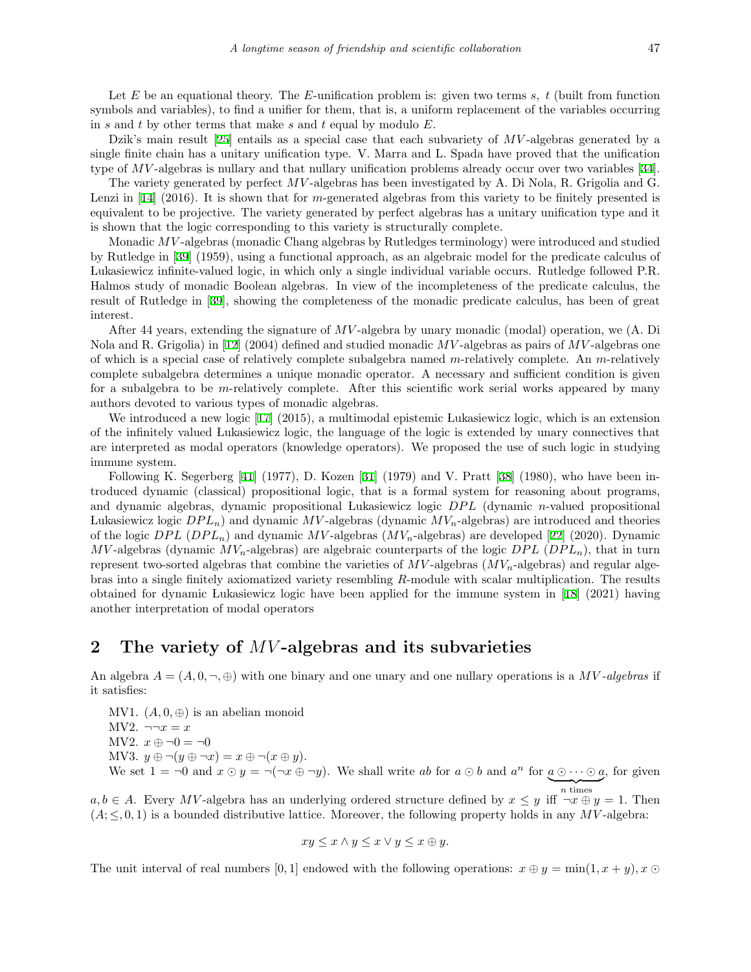Let *E* be an equational theory. The *E*-unification problem is: given two terms *s, t* (built from function symbols and variables), to find a unifier for them, that is, a uniform replacement of the variables occurring in *s* and *t* by other terms that make *s* and *t* equal by modulo *E*.

Dzik's main result[[25\]](#page-15-10) entails as a special case that each subvariety of *MV* -algebras generated by a single finite chain has a unitary unification type. V. Marra and L. Spada have proved that the unification typeof *MV*-algebras is nullary and that nullary unification problems already occur over two variables [[34\]](#page-15-11).

The variety generated by perfect *MV* -algebras has been investigated by A. Di Nola, R. Grigolia and G. Lenziin [[14\]](#page-14-12) (2016). It is shown that for *m*-generated algebras from this variety to be finitely presented is equivalent to be projective. The variety generated by perfect algebras has a unitary unification type and it is shown that the logic corresponding to this variety is structurally complete.

Monadic *MV* -algebras (monadic Chang algebras by Rutledges terminology) were introduced and studied by Rutledge in[[39\]](#page-15-12) (1959), using a functional approach, as an algebraic model for the predicate calculus of Lukasiewicz infinite-valued logic, in which only a single individual variable occurs. Rutledge followed P.R. Halmos study of monadic Boolean algebras. In view of the incompleteness of the predicate calculus, the result of Rutledge in [\[39](#page-15-12)], showing the completeness of the monadic predicate calculus, has been of great interest.

After 44 years, extending the signature of *MV* -algebra by unary monadic (modal) operation, we (A. Di Nola and R. Grigolia) in[[12\]](#page-14-13) (2004) defined and studied monadic *MV* -algebras as pairs of *MV* -algebras one of which is a special case of relatively complete subalgebra named *m*-relatively complete. An *m*-relatively complete subalgebra determines a unique monadic operator. A necessary and sufficient condition is given for a subalgebra to be *m*-relatively complete. After this scientific work serial works appeared by many authors devoted to various types of monadic algebras.

We introduced a new logic[[17](#page-14-14)] (2015), a multimodal epistemic Lukasiewicz logic, which is an extension of the infinitely valued Lukasiewicz logic, the language of the logic is extended by unary connectives that are interpreted as modal operators (knowledge operators). We proposed the use of such logic in studying immune system.

FollowingK. Segerberg  $[41]$  $[41]$  (1977), D. Kozen  $[31]$  (1979) and V. Pratt  $[38]$  (1980), who have been introduced dynamic (classical) propositional logic, that is a formal system for reasoning about programs, and dynamic algebras, dynamic propositional Lukasiewicz logic *DPL* (dynamic *n*-valued propositional Lukasiewicz logic  $DPL_n$ ) and dynamic  $MV$ -algebras (dynamic  $MV_n$ -algebras) are introduced and theories of the logic *DP L* (*DP Ln*) and dynamic *MV* -algebras (*MVn*-algebras) are developed[[22\]](#page-15-16) (2020). Dynamic *MV*-algebras (dynamic  $MV_n$ -algebras) are algebraic counterparts of the logic *DPL* (*DPL<sub>n</sub>*), that in turn represent two-sorted algebras that combine the varieties of *MV* -algebras (*MVn*-algebras) and regular algebras into a single finitely axiomatized variety resembling *R*-module with scalar multiplication. The results obtained for dynamic Lukasiewicz logic have been applied for the immune system in [\[18](#page-14-15)] (2021) having another interpretation of modal operators

## **2 The variety of** *MV* **-algebras and its subvarieties**

An algebra  $A = (A, 0, \neg, \oplus)$  with one binary and one unary and one nullary operations is a MV-algebras if it satisfies:

MV1.  $(A, 0, \oplus)$  is an abelian monoid MV2.  $\neg\neg x = x$ MV2.  $x \oplus \neg 0 = \neg 0$ MV3.  $y \oplus \neg(y \oplus \neg x) = x \oplus \neg(x \oplus y)$ . We set  $1 = \neg 0$  and  $x \odot y = \neg(\neg x \oplus \neg y)$ . We shall write ab for  $a \odot b$  and  $a^n$  for  $a \odot \cdots \odot a$ , for given

 $a, b \in A$ . Every *MV*-algebra has an underlying ordered structure defined by  $x \leq y$  iff  $\neg x \oplus y = 1$ . Then  $(A; \leq, 0, 1)$  is a bounded distributive lattice. Moreover, the following property holds in any *MV*-algebra:

$$
xy \le x \land y \le x \lor y \le x \oplus y.
$$

The unit interval of real numbers [0, 1] endowed with the following operations:  $x \oplus y = \min(1, x + y), x \odot y$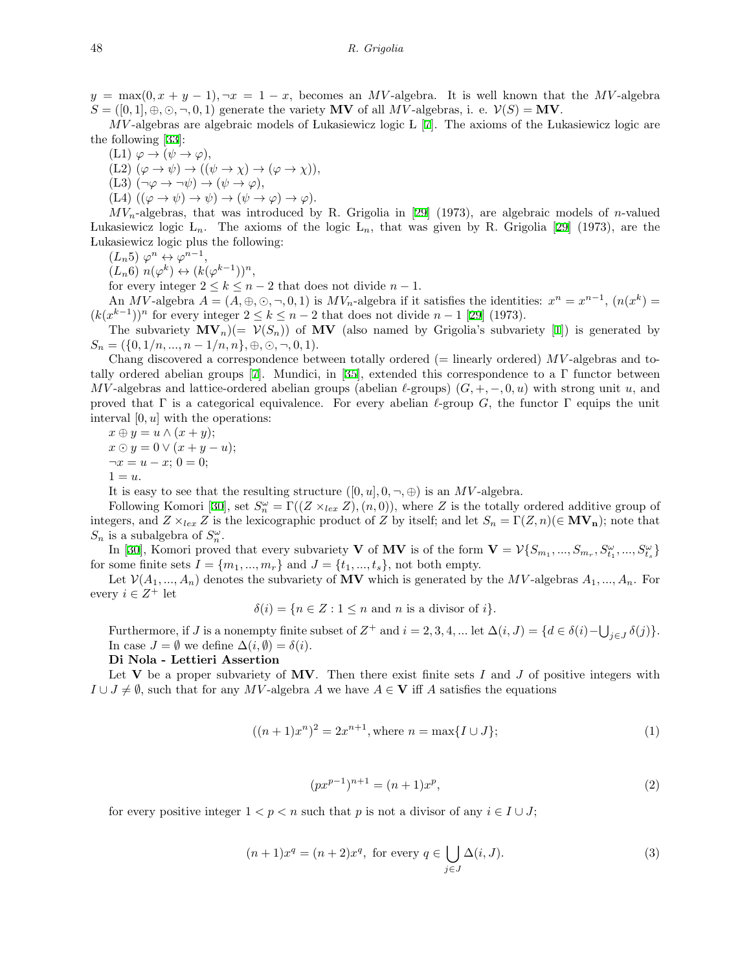$y = \max(0, x + y - 1)$ ,  $\neg x = 1 - x$ , becomes an *MV*-algebra. It is well known that the *MV*-algebra  $S = ([0,1], \oplus, \odot, \neg, 0, 1)$  generate the variety **MV** of all *MV*-algebras, i. e.  $\mathcal{V}(S) = \mathbf{MV}$ .

*MV* -algebras are algebraic models of Lukasiewicz logic L [\[7](#page-14-0)]. The axioms of the Lukasiewicz logic are the following[[33\]](#page-15-1):

 $(L1) \varphi \rightarrow (\psi \rightarrow \varphi),$ 

 $(L2)$   $(\varphi \to \psi) \to ((\psi \to \chi) \to (\varphi \to \chi)),$ 

 $(L3)$   $(\neg \varphi \rightarrow \neg \psi) \rightarrow (\psi \rightarrow \varphi),$ 

 $(L4)$   $((\varphi \rightarrow \psi) \rightarrow \psi) \rightarrow (\psi \rightarrow \varphi) \rightarrow \varphi)$ .

 $MV_n$ -algebras, that was introduced by R. Grigolia in [\[29](#page-15-4)] (1973), are algebraic models of *n*-valued Lukasiewicz logic L*n*. The axioms of the logic L*n*, that was given by R. Grigolia [\[29](#page-15-4)] (1973), are the Lukasiewicz logic plus the following:

 $(L_n 5) \varphi^n \leftrightarrow \varphi^{n-1},$ 

 $(L_n 6)$   $n(\varphi^k) \leftrightarrow (k(\varphi^{k-1}))^n$ ,

for every integer  $2 \leq k \leq n-2$  that does not divide  $n-1$ .

An MV-algebra  $A = (A, \oplus, \odot, \neg, 0, 1)$  is  $MV_n$ -algebra if it satisfies the identities:  $x^n = x^{n-1}$ ,  $(n(x^k) =$  $(k(x^{k-1}))^n$ for every integer  $2 \le k \le n-2$  that does not divide  $n-1$  [[29\]](#page-15-4) (1973).

The subvariety  $\mathbf{MV}_n$ )(=  $\mathcal{V}(S_n)$ ) of  $\mathbf{MV}$  (also named by Grigolia's subvariety [\[1](#page-13-0)]) is generated by  $S_n = (\{0, 1/n, ..., n-1/n, n\}, \oplus, \odot, \neg, 0, 1).$ 

Chang discovered a correspondence between totally ordered (= linearly ordered) *MV* -algebras and to-tallyordered abelian groups [[7\]](#page-14-0). Mundici, in [\[35](#page-15-3)], extended this correspondence to a  $\Gamma$  functor between  $MV$ -algebras and lattice-ordered abelian groups (abelian *ℓ*-groups)  $(G, +, -, 0, u)$  with strong unit *u*, and proved that Γ is a categorical equivalence. For every abelian *ℓ*-group *G*, the functor Γ equips the unit interval [0*, u*] with the operations:

 $x \oplus y = u \wedge (x + y);$  $x \odot y = 0 \vee (x + y - u);$  $\neg x = u - x; 0 = 0;$  $1 = u$ .

It is easy to see that the resulting structure  $([0, u], 0, \neg, \oplus)$  is an *MV*-algebra.

Following Komori [\[30](#page-15-5)], set  $S_n^{\omega} = \Gamma((Z \times_{lex} Z), (n, 0))$ , where *Z* is the totally ordered additive group of integers, and  $Z \times_{lex} Z$  is the lexicographic product of *Z* by itself; and let  $S_n = \Gamma(Z, n) (\in \mathbf{MV_n})$ ; note that  $S_n$  is a subalgebra of  $S_n^{\omega}$ .

In [\[30](#page-15-5)], Komori proved that every subvariety **V** of **MV** is of the form  $\mathbf{V} = \mathcal{V}\{S_{m_1},...,S_{m_r},S_{t_1}^{\omega},...,S_{t_s}^{\omega}\}\$ for some finite sets  $I = \{m_1, ..., m_r\}$  and  $J = \{t_1, ..., t_s\}$ , not both empty.

Let  $V(A_1, ..., A_n)$  denotes the subvariety of **MV** which is generated by the *MV*-algebras  $A_1, ..., A_n$ . For every  $i \in Z^+$  let

 $\delta(i) = \{n \in \mathbb{Z} : 1 \leq n \text{ and } n \text{ is a divisor of } i\}.$ 

Furthermore, if J is a nonempty finite subset of  $Z^+$  and  $i = 2, 3, 4, ...$  let  $\Delta(i, J) = \{d \in \delta(i) - \bigcup_{j \in J} \delta(j)\}.$ In case  $J = \emptyset$  we define  $\Delta(i, \emptyset) = \delta(i)$ .

**Di Nola - Lettieri Assertion**

Let **V** be a proper subvariety of MV. Then there exist finite sets  $I$  and  $J$  of positive integers with *I* ∪ *J*  $\neq$  *Ø*, such that for any *MV*-algebra *A* we have *A*  $\in$  **V** iff *A* satisfies the equations

$$
((n+1)x^n)^2 = 2x^{n+1}, \text{where } n = \max\{I \cup J\};\tag{1}
$$

$$
(px^{p-1})^{n+1} = (n+1)x^p,
$$
\n(2)

for every positive integer  $1 < p < n$  such that p is not a divisor of any  $i \in I \cup J$ ;

$$
(n+1)x^{q} = (n+2)x^{q}, \text{ for every } q \in \bigcup_{j \in J} \Delta(i, J).
$$
 (3)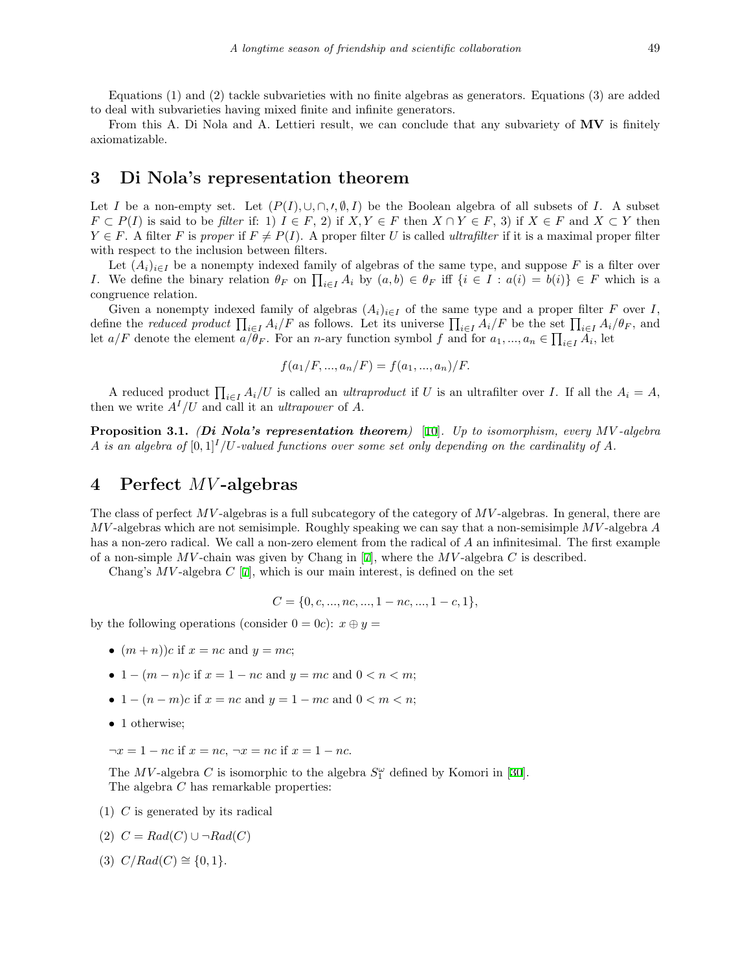From this A. Di Nola and A. Lettieri result, we can conclude that any subvariety of **MV** is finitely axiomatizable.

# **3 Di Nola's representation theorem**

Let *I* be a non-empty set. Let  $(P(I), \cup, \cap, \prime, \emptyset, I)$  be the Boolean algebra of all subsets of *I*. A subset  $F \subset P(I)$  is said to be filter if: 1)  $I \in F$ , 2) if  $X, Y \in F$  then  $X \cap Y \in F$ , 3) if  $X \in F$  and  $X \subset Y$  then  $Y \in F$ . A filter *F* is *proper* if  $F \neq P(I)$ . A proper filter *U* is called *ultrafilter* if it is a maximal proper filter with respect to the inclusion between filters.

Let  $(A_i)_{i\in I}$  be a nonempty indexed family of algebras of the same type, and suppose F is a filter over *I*. We define the binary relation  $\theta_F$  on  $\prod_{i\in I} A_i$  by  $(a,b) \in \theta_F$  iff  $\{i \in I : a(i) = b(i)\}\in F$  which is a congruence relation.

Given a nonempty indexed family of algebras  $(A_i)_{i \in I}$  of the same type and a proper filter *F* over *I*, define the reduced product  $\prod_{i \in I} A_i/F$  as follows. Let its universe  $\prod_{i \in I} A_i/F$  be the set  $\prod_{i \in I} A_i/\theta_F$ , and let *a/F* denote the element  $\overline{a}/\overline{\theta}_F$ . For an *n*-ary function symbol *f* and for  $a_1, ..., a_n \in \prod_{i \in I} A_i$ , let

$$
f(a_1/F, ..., a_n/F) = f(a_1, ..., a_n)/F.
$$

A reduced product  $\prod_{i \in I} A_i/U$  is called an *ultraproduct* if U is an ultrafilter over I. If all the  $A_i = A$ , then we write  $A^I/U$  and call it an *ultrapower* of A.

**Proposition 3.1.** *(Di Nola's representation theorem)* [[10\]](#page-14-2)*. Up to isomorphism, every MV -algebra A* is an algebra of  $[0,1]^I/U$ -valued functions over some set only depending on the cardinality of A.

# **4 Perfect** *MV* **-algebras**

The class of perfect *MV* -algebras is a full subcategory of the category of *MV* -algebras. In general, there are *MV* -algebras which are not semisimple. Roughly speaking we can say that a non-semisimple *MV* -algebra *A* has a non-zero radical. We call a non-zero element from the radical of *A* an infinitesimal. The first example of a non-simple *MV* -chain was given by Chang in[[7](#page-14-0)], where the *MV* -algebra *C* is described.

Chang's  $MV$ -algebra  $C$  [[7\]](#page-14-0), which is our main interest, is defined on the set

$$
C = \{0, c, ..., nc, ..., 1 - nc, ..., 1 - c, 1\},\
$$

by the following operations (consider  $0 = 0c$ ):  $x \oplus y =$ 

- $(m + n)$ *c* if  $x = nc$  and  $y = mc$ ;
- $1 (m n)c$  if  $x = 1 nc$  and  $y = mc$  and  $0 < n < m$ ;
- *•* 1 *−* (*n − m*)*c* if *x* = *nc* and *y* = 1 *− mc* and 0 *< m < n*;
- 1 otherwise;

*¬x* = 1 *− nc* if *x* = *nc*, *¬x* = *nc* if *x* = 1 *− nc*.

The  $MV$ -algebra  $C$  is isomorphic to the algebra  $S_1^{\omega}$  defined by Komori in [\[30](#page-15-5)]. The algebra *C* has remarkable properties:

(1) *C* is generated by its radical

$$
(2) C = Rad(C) \cup \neg Rad(C)
$$

 $(C/Rad(C) \cong \{0, 1\}.$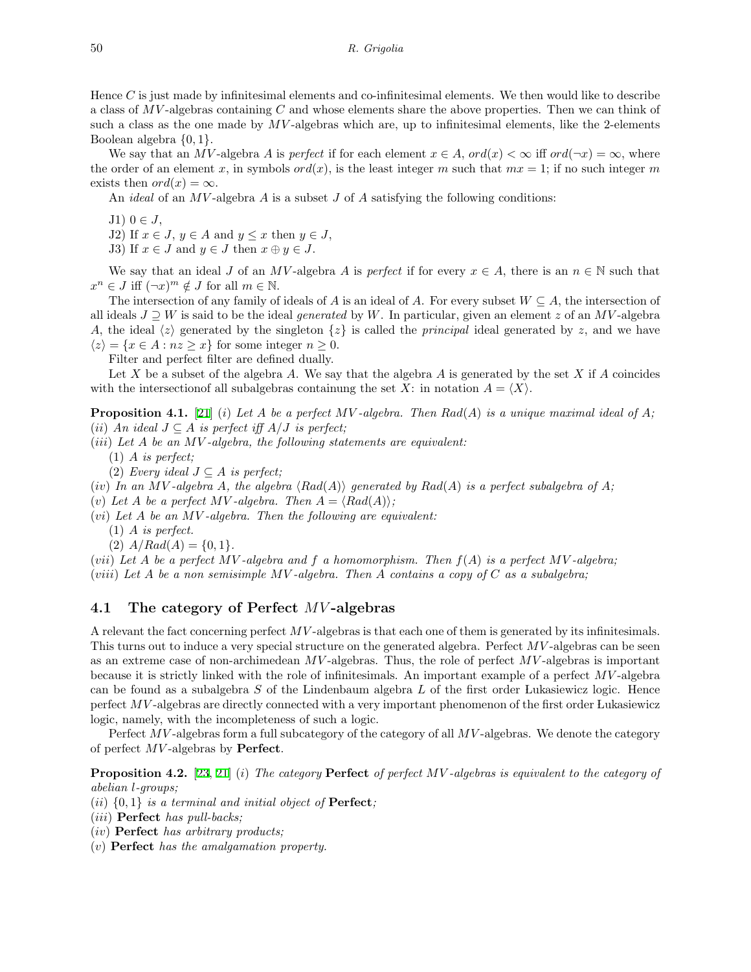Hence *C* is just made by infinitesimal elements and co-infinitesimal elements. We then would like to describe a class of *MV* -algebras containing *C* and whose elements share the above properties. Then we can think of such a class as the one made by MV-algebras which are, up to infinitesimal elements, like the 2-elements Boolean algebra *{*0*,* 1*}*.

We say that an *MV*-algebra *A* is *perfect* if for each element  $x \in A$ ,  $ord(x) < \infty$  iff  $ord(\neg x) = \infty$ , where the order of an element x, in symbols  $ord(x)$ , is the least integer m such that  $mx = 1$ ; if no such integer m exists then  $ord(x) = \infty$ .

An *ideal* of an *MV* -algebra *A* is a subset *J* of *A* satisfying the following conditions:

- J1) 0 *∈ J*,
- J2) If  $x \in J$ ,  $y \in A$  and  $y \leq x$  then  $y \in J$ ,
- J3) If  $x \in J$  and  $y \in J$  then  $x \oplus y \in J$ .

We say that an ideal *J* of an *MV*-algebra *A* is *perfect* if for every  $x \in A$ , there is an  $n \in \mathbb{N}$  such that  $x^n \in J$  iff  $(\neg x)^m \notin J$  for all  $m \in \mathbb{N}$ .

The intersection of any family of ideals of *A* is an ideal of *A*. For every subset  $W \subseteq A$ , the intersection of all ideals  $J \supseteq W$  is said to be the ideal *generated* by W. In particular, given an element *z* of an MV-algebra *A*, the ideal  $\langle z \rangle$  generated by the singleton  $\{z\}$  is called the *principal* ideal generated by *z*, and we have  $\langle z \rangle = \{x \in A : nz \geq x\}$  for some integer  $n \geq 0$ .

Filter and perfect filter are defined dually.

Let *X* be a subset of the algebra *A*. We say that the algebra *A* is generated by the set *X* if *A* coincides with the intersection of all subalgebras containung the set  $X$ : in notation  $A = \langle X \rangle$ .

**Proposition 4.1.** [\[21](#page-14-7)] (*i*) Let A be a perfect MV-algebra. Then  $Rad(A)$  is a unique maximal ideal of A; (*ii*) *An ideal*  $J \subseteq A$  *is perfect iff*  $A/J$  *is perfect;* 

- (*iii*) *Let A be an MV -algebra, the following statements are equivalent:*
	- (1) *A is perfect;*
	- (2) *Every ideal*  $J ⊆ A$  *is perfect;*
- (*iv*) In an MV-algebra A, the algebra  $\langle Rad(A) \rangle$  generated by  $Rad(A)$  is a perfect subalgebra of A;
- (*v*) Let *A* be a perfect MV-algebra. Then  $A = \langle Rad(A) \rangle$ ;
- (*vi*) *Let A be an MV -algebra. Then the following are equivalent:*
	- (1) *A is perfect.*
	- $(2)$   $A/Rad(A) = \{0, 1\}.$

(*vii*) *Let A be a perfect MV -algebra and f a homomorphism. Then f*(*A*) *is a perfect MV -algebra;* (*viii*) Let  $A$  be a non semisimple  $MV$ -algebra. Then  $A$  contains a copy of  $C$  as a subalgebra;

#### **4.1 The category of Perfect** *MV* **-algebras**

A relevant the fact concerning perfect *MV* -algebras is that each one of them is generated by its infinitesimals. This turns out to induce a very special structure on the generated algebra. Perfect *MV* -algebras can be seen as an extreme case of non-archimedean *MV*-algebras. Thus, the role of perfect *MV*-algebras is important because it is strictly linked with the role of infinitesimals. An important example of a perfect *MV* -algebra can be found as a subalgebra *S* of the Lindenbaum algebra *L* of the first order Lukasiewicz logic. Hence perfect *MV* -algebras are directly connected with a very important phenomenon of the first order Lukasiewicz logic, namely, with the incompleteness of such a logic.

Perfect *MV* -algebras form a full subcategory of the category of all *MV* -algebras. We denote the category of perfect *MV* -algebras by **Perfect**.

**Proposition 4.2.** [[23,](#page-15-8) [21](#page-14-7)] (*i*) *The category* **Perfect** *of perfect MV -algebras is equivalent to the category of abelian l-groups;*

- (*ii*)  $\{0,1\}$  *is a terminal and initial object of* **Perfect***;*
- (*iii*) **Perfect** *has pull-backs;*
- (*iv*) **Perfect** *has arbitrary products;*
- (*v*) **Perfect** *has the amalgamation property.*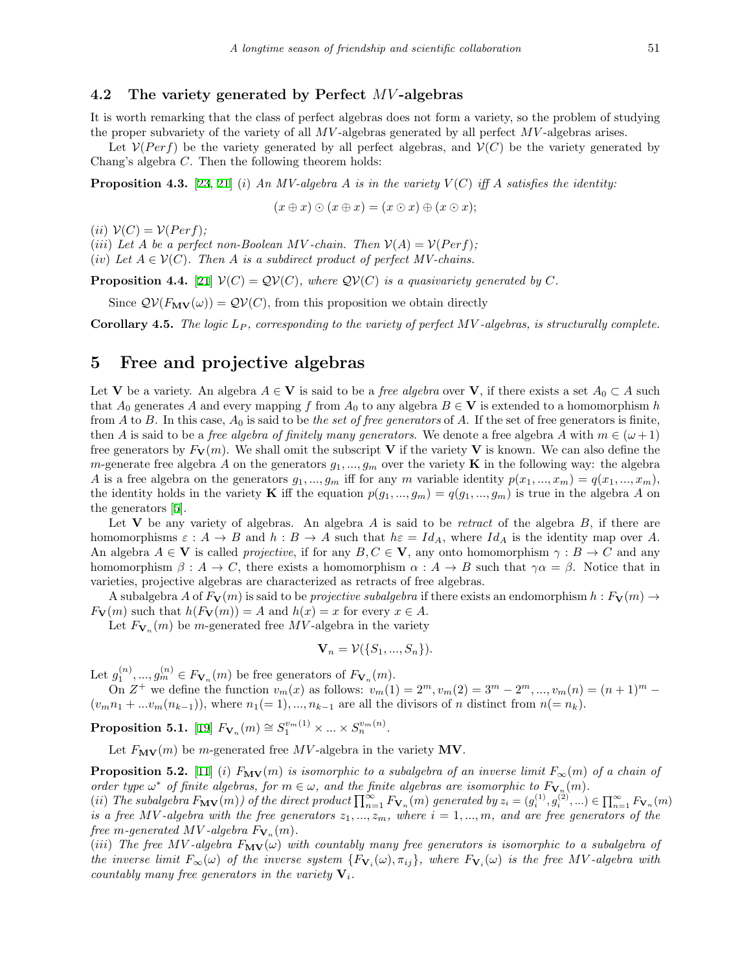### **4.2 The variety generated by Perfect** *MV* **-algebras**

It is worth remarking that the class of perfect algebras does not form a variety, so the problem of studying the proper subvariety of the variety of all *MV* -algebras generated by all perfect *MV* -algebras arises.

Let  $V(Perf)$  be the variety generated by all perfect algebras, and  $V(C)$  be the variety generated by Chang's algebra *C*. Then the following theorem holds:

**Proposition 4.3.** [\[23](#page-15-8), [21](#page-14-7)] (*i*) An MV-algebra A is in the variety  $V(C)$  iff A satisfies the identity:

$$
(x \oplus x) \odot (x \oplus x) = (x \odot x) \oplus (x \odot x);
$$

 $(iii)$   $V(C) = V(Perf);$ 

(*iii*) Let *A* be a perfect non-Boolean *MV*-chain. Then  $V(A) = V(Perf)$ ;

(*iv*) Let  $A \in V(C)$ . Then A is a subdirect product of perfect MV-chains.

**Proposition 4.4.** [\[21](#page-14-7)]  $V(C) = QV(C)$ *, where*  $QV(C)$  *is a quasivariety generated by* C.

Since  $QV(F_{\text{MV}}(\omega)) = QV(C)$ , from this proposition we obtain directly

**Corollary 4.5.** *The logic L<sup>P</sup> , corresponding to the variety of perfect MV -algebras, is structurally complete.*

## **5 Free and projective algebras**

Let **V** be a variety. An algebra  $A \in V$  is said to be a *free algebra* over **V**, if there exists a set  $A_0 \subset A$  such that  $A_0$  generates  $A$  and every mapping  $f$  from  $A_0$  to any algebra  $B \in V$  is extended to a homomorphism  $h$ from *A* to *B*. In this case, *A*<sup>0</sup> is said to be *the set of free generators* of *A*. If the set of free generators is finite, then *A* is said to be a *free algebra of finitely many generators*. We denote a free algebra *A* with  $m \in (\omega + 1)$ free generators by  $F_{\mathbf{V}}(m)$ . We shall omit the subscript **V** if the variety **V** is known. We can also define the *m*-generate free algebra *A* on the generators  $g_1, ..., g_m$  over the variety **K** in the following way: the algebra *A* is a free algebra on the generators  $g_1, ..., g_m$  iff for any *m* variable identity  $p(x_1, ..., x_m) = q(x_1, ..., x_m)$ , the identity holds in the variety **K** iff the equation  $p(g_1, ..., g_m) = q(g_1, ..., g_m)$  is true in the algebra *A* on the generators[[5\]](#page-14-16).

Let **V** be any variety of algebras. An algebra *A* is said to be *retract* of the algebra *B*, if there are homomorphisms  $\varepsilon : A \to B$  and  $h : B \to A$  such that  $h\varepsilon = Id_A$ , where  $Id_A$  is the identity map over A. An algebra  $A \in V$  is called *projective*, if for any  $B, C \in V$ , any onto homomorphism  $\gamma : B \to C$  and any homomorphism  $\beta : A \to C$ , there exists a homomorphism  $\alpha : A \to B$  such that  $\gamma \alpha = \beta$ . Notice that in varieties, projective algebras are characterized as retracts of free algebras.

A subalgebra *A* of  $F_V(m)$  is said to be *projective subalgebra* if there exists an endomorphism  $h : F_V(m) \rightarrow$  $F_{\mathbf{V}}(m)$  such that  $h(F_{\mathbf{V}}(m)) = A$  and  $h(x) = x$  for every  $x \in A$ .

Let  $F_{\mathbf{V}_n}(m)$  be *m*-generated free  $MV$ -algebra in the variety

$$
\mathbf{V}_n = \mathcal{V}(\{S_1, ..., S_n\}).
$$

Let  $g_1^{(n)},..., g_m^{(n)} \in F_{\mathbf{V}_n}(m)$  be free generators of  $F_{\mathbf{V}_n}(m)$ .

On  $Z^+$  we define the function  $v_m(x)$  as follows:  $v_m(1) = 2^m$ ,  $v_m(2) = 3^m - 2^m$ , ...,  $v_m(n) = (n+1)^m - 2^m$  $(v_m n_1 + \ldots v_m(n_{k-1}))$ , where  $n_1(= 1), \ldots, n_{k-1}$  are all the divisors of *n* distinct from  $n (= n_k)$ .

 ${\bf Proposition 5.1.}~~ [19] \ \ F_{{\bf V}_n}(m) \cong S_1^{v_m(1)} \times ... \times S_n^{v_m(n)}.$  ${\bf Proposition 5.1.}~~ [19] \ \ F_{{\bf V}_n}(m) \cong S_1^{v_m(1)} \times ... \times S_n^{v_m(n)}.$  ${\bf Proposition 5.1.}~~ [19] \ \ F_{{\bf V}_n}(m) \cong S_1^{v_m(1)} \times ... \times S_n^{v_m(n)}.$ 

Let  $F_{\mathbf{MV}}(m)$  be *m*-generated free *MV*-algebra in the variety **MV**.

**Proposition 5.2.** [\[11](#page-14-9)] (*i*)  $F_{\text{MV}}(m)$  is isomorphic to a subalgebra of an inverse limit  $F_{\infty}(m)$  of a chain of *order type*  $\omega^*$  *of finite algebras, for*  $m \in \omega$ *, and the finite algebras are isomorphic to*  $F_{\mathbf{V}_n}(m)$ *.* (ii) The subalgebra  $F_{\textbf{MV}}(m)$  of the direct product  $\prod_{n=1}^{\infty} F_{\textbf{V}_n}(m)$  generated by  $z_i = (g_i^{(1)}, g_i^{(2)}, ...) \in \prod_{n=1}^{\infty} F_{\textbf{V}_n}(m)$ 

*is a free MV*-algebra with the free generators  $z_1, ..., z_m$ , where  $i = 1, ..., m$ , and are free generators of the *free m*-generated  $MV$ -algebra  $F_{\mathbf{V}_n}(m)$ .

(*iii*) The free MV-algebra  $F_{\text{MV}}(\omega)$  with countably many free generators is isomorphic to a subalgebra of the inverse limit  $F_{\infty}(\omega)$  of the inverse system  $\{F_{V_i}(\omega), \pi_{ij}\}\$ , where  $F_{V_i}(\omega)$  is the free MV-algebra with *countably many free generators in the variety* **V***i.*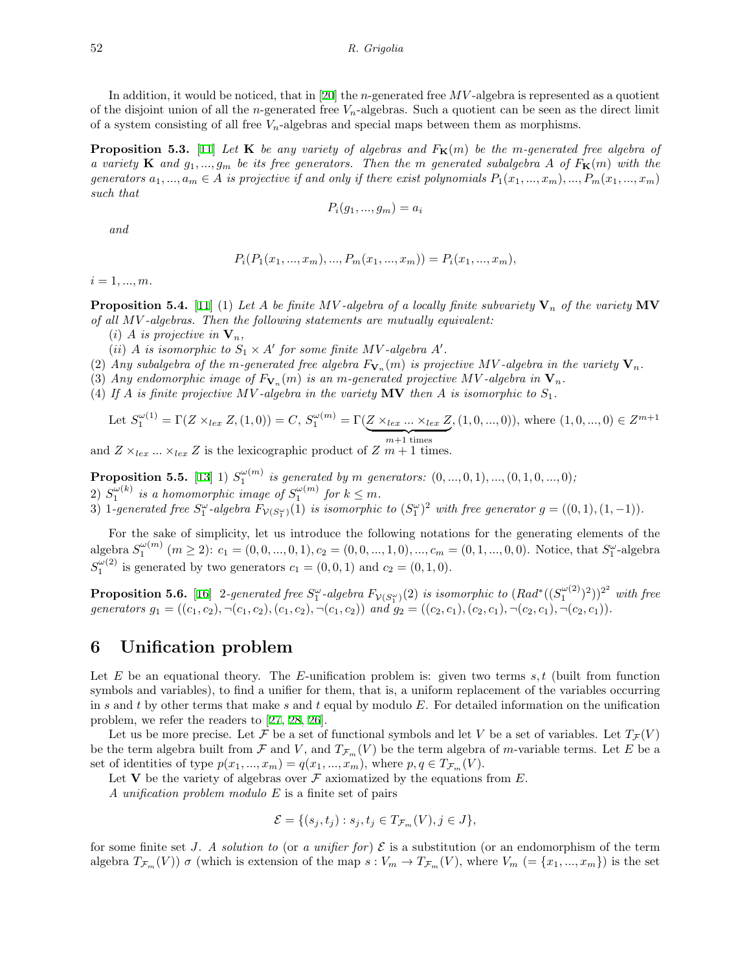In addition, it would be noticed, that in[[20\]](#page-14-17) the *n*-generated free *MV* -algebra is represented as a quotient of the disjoint union of all the *n*-generated free *Vn*-algebras. Such a quotient can be seen as the direct limit of a system consisting of all free *Vn*-algebras and special maps between them as morphisms.

**Proposition 5.3.** [\[11](#page-14-9)] Let **K** be any variety of algebras and  $F_{\mathbf{K}}(m)$  be the m-generated free algebra of *a* variety **K** and  $g_1, ..., g_m$  be its free generators. Then the *m* generated subalgebra A of  $F_{\mathbf{K}}(m)$  with the generators  $a_1, ..., a_m \in A$  is projective if and only if there exist polynomials  $P_1(x_1, ..., x_m), ..., P_m(x_1, ..., x_m)$ *such that*

$$
P_i(g_1, \ldots, g_m) = a_i
$$

*and*

$$
P_i(P_1(x_1, ..., x_m), ..., P_m(x_1, ..., x_m)) = P_i(x_1, ..., x_m),
$$

 $i = 1, ..., m$ .

**Proposition 5.4.** [\[11](#page-14-9)] (1) Let A be finite MV-algebra of a locally finite subvariety  $V_n$  of the variety  $MV$ *of all MV -algebras. Then the following statements are mutually equivalent:*

(*i*) *A is projective in*  $V_n$ *,* 

(*ii*) *A is isomorphic to*  $S_1 \times A'$  *for some finite*  $MV$ -algebra  $A'$ *.* 

(2) Any subalgebra of the m-generated free algebra  $F_{\mathbf{V}_n}(m)$  is projective MV-algebra in the variety  $\mathbf{V}_n$ .

(3) Any endomorphic image of  $F_{\mathbf{V}_n}(m)$  is an *m*-generated projective MV-algebra in  $\mathbf{V}_n$ .

(4) If *A* is finite projective MV-algebra in the variety  $MV$  then *A* is isomorphic to  $S_1$ .

Let 
$$
S_1^{\omega(1)} = \Gamma(Z \times_{lex} Z, (1,0)) = C
$$
,  $S_1^{\omega(m)} = \Gamma(\underbrace{Z \times_{lex} ... \times_{lex} Z}_{m+1 \text{ times}}, (1,0,...,0))$ , where  $(1,0,...,0) \in Z^{m+1}$ 

and  $Z \times_{lex} \ldots \times_{lex} Z$  is the lexicographic product of  $Z m + 1$  times.

**Proposition 5.5.** [\[13](#page-14-18)] 1)  $S_1^{\omega(m)}$  is generated by *m* generators:  $(0, ..., 0, 1), ..., (0, 1, 0, ..., 0)$ ; 2)  $S_1^{\omega(k)}$  is a homomorphic image of  $S_1^{\omega(m)}$  for  $k \leq m$ .

3) 1-generated free  $S_1^{\omega}$ -algebra  $F_{\mathcal{V}(S_1^{\omega})}(1)$  is isomorphic to  $(S_1^{\omega})^2$  with free generator  $g=((0,1),(1,-1))$ .

For the sake of simplicity, let us introduce the following notations for the generating elements of the algebra  $S_1^{\omega(m)}$   $(m \ge 2)$ :  $c_1 = (0, 0, ..., 0, 1), c_2 = (0, 0, ..., 1, 0), ..., c_m = (0, 1, ..., 0, 0)$ . Notice, that  $S_1^{\omega}$ -algebra  $S_1^{\omega(2)}$  is generated by two generators  $c_1 = (0, 0, 1)$  and  $c_2 = (0, 1, 0)$ .

**Proposition 5.6.** [\[16](#page-14-19)] 2-generated free  $S_1^{\omega}$ -algebra  $F_{\mathcal{V}(S_1^{\omega})}(2)$  is isomorphic to  $(Rad^*((S_1^{\omega(2)})^2))^{2^2}$  with free generators  $g_1 = ((c_1, c_2), \neg(c_1, c_2), (c_1, c_2), \neg(c_1, c_2))$  and  $g_2 = ((c_2, c_1), (c_2, c_1), \neg(c_2, c_1), \neg(c_2, c_1))$ .

# **6 Unification problem**

Let *E* be an equational theory. The *E*-unification problem is: given two terms *s, t* (built from function symbols and variables), to find a unifier for them, that is, a uniform replacement of the variables occurring in *s* and *t* by other terms that make *s* and *t* equal by modulo *E*. For detailed information on the unification problem, we refer the readers to [\[27](#page-15-17), [28](#page-15-18), [26\]](#page-15-19).

Let us be more precise. Let *F* be a set of functional symbols and let *V* be a set of variables. Let  $T<sub>F</sub>(V)$ be the term algebra built from  $\mathcal F$  and  $V$ , and  $T_{\mathcal F_m}(V)$  be the term algebra of *m*-variable terms. Let *E* be a set of identities of type  $p(x_1, ..., x_m) = q(x_1, ..., x_m)$ , where  $p, q \in T_{\mathcal{F}_m}(V)$ .

Let **V** be the variety of algebras over  $\mathcal F$  axiomatized by the equations from  $E$ .

*A unification problem modulo E* is a finite set of pairs

$$
\mathcal{E} = \{ (s_j, t_j) : s_j, t_j \in T_{\mathcal{F}_m}(V), j \in J \},\
$$

for some finite set *J.* A solution to (or a unifier for)  $\mathcal E$  is a substitution (or an endomorphism of the term algebra  $T_{\mathcal{F}_m}(V)$   $\sigma$  (which is extension of the map  $s: V_m \to T_{\mathcal{F}_m}(V)$ , where  $V_m$  (= { $x_1, ..., x_m$ }) is the set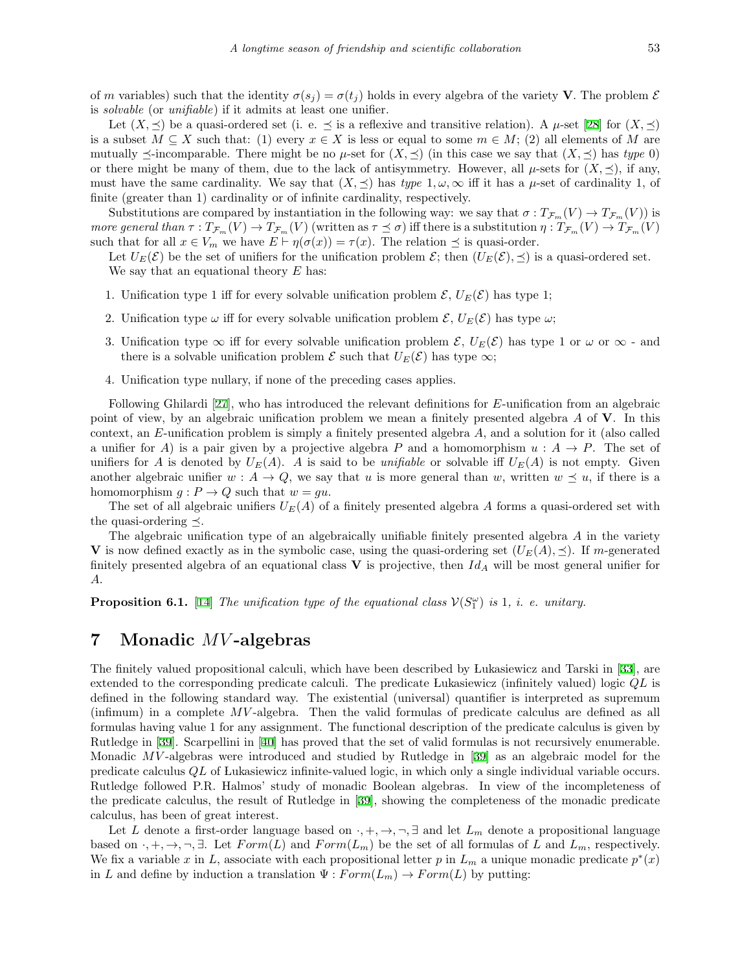of *m* variables) such that the identity  $\sigma(s_i) = \sigma(t_i)$  holds in every algebra of the variety **V**. The problem  $\mathcal{E}$ is *solvable* (or *unifiable*) if it admits at least one unifier.

Let $(X, \preceq)$  be a quasi-ordered set (i. e.  $\preceq$  is a reflexive and transitive relation). A  $\mu$ -set [[28](#page-15-18)] for  $(X, \preceq)$ is a subset  $M \subseteq X$  such that: (1) every  $x \in X$  is less or equal to some  $m \in M$ ; (2) all elements of M are mutually  $\preceq$ -incomparable. There might be no  $\mu$ -set for  $(X, \preceq)$  (in this case we say that  $(X, \preceq)$  has *type* 0) or there might be many of them, due to the lack of antisymmetry. However, all  $\mu$ -sets for  $(X, \preceq)$ , if any, must have the same cardinality. We say that  $(X, \preceq)$  has *type*  $1, \omega, \infty$  iff it has a  $\mu$ -set of cardinality 1, of finite (greater than 1) cardinality or of infinite cardinality, respectively.

Substitutions are compared by instantiation in the following way: we say that  $\sigma: T_{\mathcal{F}_m}(V) \to T_{\mathcal{F}_m}(V)$  is more general than  $\tau: T_{\mathcal{F}_m}(V) \to T_{\mathcal{F}_m}(V)$  (written as  $\tau \preceq \sigma$ ) iff there is a substitution  $\eta: T_{\mathcal{F}_m}(V) \to T_{\mathcal{F}_m}(V)$ such that for all  $x \in V_m$  we have  $E \vdash \eta(\sigma(x)) = \tau(x)$ . The relation  $\preceq$  is quasi-order.

Let  $U_E(\mathcal{E})$  be the set of unifiers for the unification problem  $\mathcal{E}$ ; then  $(U_E(\mathcal{E}), \preceq)$  is a quasi-ordered set. We say that an equational theory *E* has:

- 1. Unification type 1 iff for every solvable unification problem  $\mathcal{E}, U_E(\mathcal{E})$  has type 1;
- 2. Unification type  $\omega$  iff for every solvable unification problem  $\mathcal{E}, U_E(\mathcal{E})$  has type  $\omega$ ;
- 3. Unification type  $\infty$  iff for every solvable unification problem  $\mathcal{E}, U_E(\mathcal{E})$  has type 1 or  $\omega$  or  $\infty$  and there is a solvable unification problem  $\mathcal E$  such that  $U_E(\mathcal E)$  has type  $\infty$ ;
- 4. Unification type nullary, if none of the preceding cases applies.

Following Ghilardi[[27\]](#page-15-17), who has introduced the relevant definitions for *E*-unification from an algebraic point of view, by an algebraic unification problem we mean a finitely presented algebra *A* of **V**. In this context, an *E*-unification problem is simply a finitely presented algebra *A*, and a solution for it (also called a unifier for *A*) is a pair given by a projective algebra *P* and a homomorphism  $u : A \rightarrow P$ . The set of unifiers for *A* is denoted by  $U_E(A)$ . *A* is said to be *unifiable* or solvable iff  $U_E(A)$  is not empty. Given another algebraic unifier  $w : A \to Q$ , we say that *u* is more general than *w*, written  $w \preceq u$ , if there is a homomorphism  $g: P \to Q$  such that  $w = gu$ .

The set of all algebraic unifiers  $U_E(A)$  of a finitely presented algebra A forms a quasi-ordered set with the quasi-ordering *≼*.

The algebraic unification type of an algebraically unifiable finitely presented algebra *A* in the variety **V** is now defined exactly as in the symbolic case, using the quasi-ordering set  $(U_E(A), \preceq)$ . If *m*-generated finitely presented algebra of an equational class **V** is projective, then *Id<sup>A</sup>* will be most general unifier for *A*.

**Proposition 6.1.** [\[14](#page-14-12)] *The unification type of the equational class*  $V(S_1^{\omega})$  *is* 1*, i. e. unitary.* 

### **7 Monadic** *MV* **-algebras**

The finitely valued propositional calculi, which have been described by Lukasiewicz and Tarski in[[33](#page-15-1)], are extended to the corresponding predicate calculi. The predicate Lukasiewicz (infinitely valued) logic *QL* is defined in the following standard way. The existential (universal) quantifier is interpreted as supremum (infimum) in a complete *MV* -algebra. Then the valid formulas of predicate calculus are defined as all formulas having value 1 for any assignment. The functional description of the predicate calculus is given by Rutledge in [\[39](#page-15-12)]. Scarpellini in [\[40](#page-15-7)] has proved that the set of valid formulas is not recursively enumerable. Monadic *MV* -algebras were introduced and studied by Rutledge in [\[39](#page-15-12)] as an algebraic model for the predicate calculus *QL* of Lukasiewicz infinite-valued logic, in which only a single individual variable occurs. Rutledge followed P.R. Halmos' study of monadic Boolean algebras. In view of the incompleteness of the predicate calculus, the result of Rutledge in[[39](#page-15-12)], showing the completeness of the monadic predicate calculus, has been of great interest.

Let *L* denote a first-order language based on  $\cdot$ ,  $+$ ,  $\rightarrow$ ,  $\neg$ ,  $\exists$  and let  $L_m$  denote a propositional language based on  $\cdot$ ,  $+$ ,  $\rightarrow$ ,  $\neg$ ,  $\exists$ . Let *Form*(*L*) and *Form*(*L<sub>m</sub>*) be the set of all formulas of *L* and *L<sub>m</sub>*, respectively. We fix a variable x in L, associate with each propositional letter p in  $L_m$  a unique monadic predicate  $p^*(x)$ in *L* and define by induction a translation  $\Psi : Form(L_m) \to Form(L)$  by putting: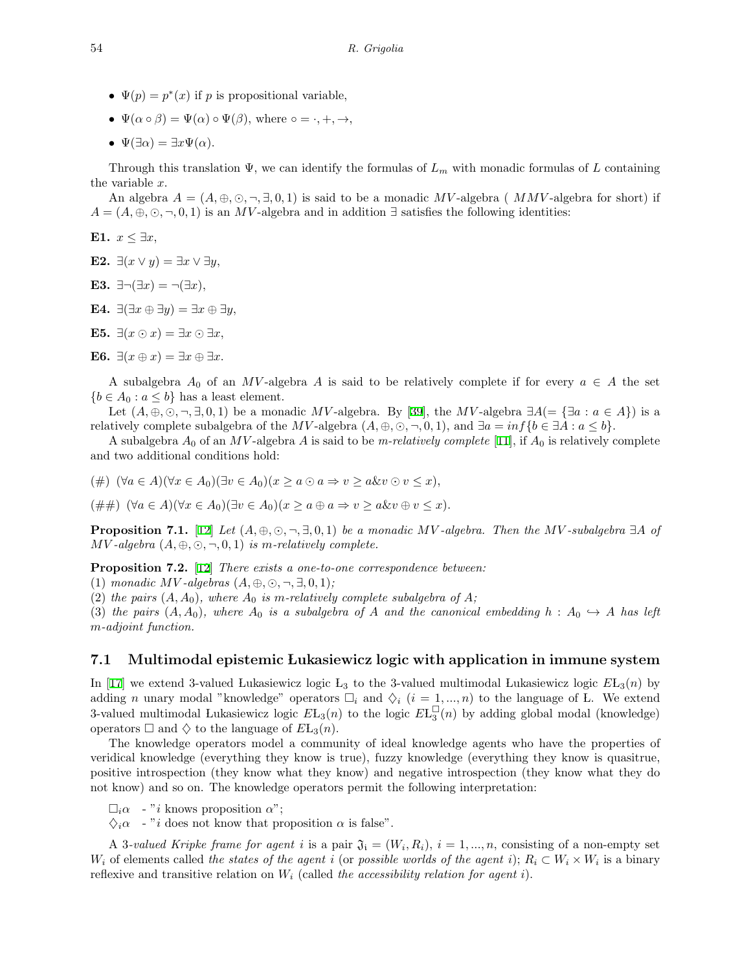- $\Psi(p) = p^*(x)$  if *p* is propositional variable,
- $\Psi(\alpha \circ \beta) = \Psi(\alpha) \circ \Psi(\beta)$ , where  $\circ = \cdot, +, \rightarrow$ ,
- $\Psi(\exists \alpha) = \exists x \Psi(\alpha).$

Through this translation Ψ, we can identify the formulas of *L<sup>m</sup>* with monadic formulas of *L* containing the variable *x*.

An algebra  $A = (A, \oplus, \odot, \neg, \exists, 0, 1)$  is said to be a monadic MV-algebra (*MMV*-algebra for short) if  $A = (A, \oplus, \odot, \neg, 0, 1)$  is an *MV*-algebra and in addition  $\exists$  satisfies the following identities:

**E1.** *x ≤ ∃x*,

**E2.** *∃*(*x ∨ y*) = *∃x ∨ ∃y*,

- **E3.**  $\exists \neg (\exists x) = \neg (\exists x)$ ,
- **E4.** *∃*(*∃x ⊕ ∃y*) = *∃x ⊕ ∃y*,
- **E5.**  $\exists$ ( $x \odot x$ ) =  $\exists x \odot \exists x$ ,
- **E6.**  $\exists (x \oplus x) = \exists x \oplus \exists x.$

A subalgebra  $A_0$  of an  $MV$ -algebra  $A$  is said to be relatively complete if for every  $a \in A$  the set  ${b \in A_0 : a \le b}$  has a least element.

Let $(A, \oplus, \odot, \neg, \exists, 0, 1)$  be a monadic MV-algebra. By [[39\]](#page-15-12), the MV-algebra  $\exists A (\equiv \{\exists a : a \in A\})$  is a relatively complete subalgebra of the MV-algebra  $(A, \oplus, \odot, \neg, 0, 1)$ , and  $\exists a = \inf \{b \in \exists A : a \le b\}.$ 

A subalgebra  $A_0$  of an MV-algebra A is said to be *m-relatively complete* [\[11](#page-14-9)], if  $A_0$  is relatively complete and two additional conditions hold:

(#)  $(\forall a \in A)(\forall x \in A_0)(\exists v \in A_0)(x > a \odot a \Rightarrow v > a \& v \odot v \leq x),$ 

(##)  $(\forall a \in A)(\forall x \in A_0)(\exists v \in A_0)(x \ge a \oplus a \Rightarrow v \ge a \& v \oplus v \le x).$ 

**Proposition 7.1.** [[12\]](#page-14-13) Let  $(A, \oplus, \odot, \neg, \exists, 0, 1)$  be a monadic MV-algebra. Then the MV-subalgebra  $\exists A$  of *MV* -algebra  $(A, \oplus, \odot, \neg, 0, 1)$  *is m-relatively complete.* 

**Proposition 7.2.** [\[12](#page-14-13)] *There exists a one-to-one correspondence between:*

 $(1)$  *monadic MV*-algebras  $(A, \oplus, \odot, \neg, \exists, 0, 1)$ ;

(2) the pairs  $(A, A_0)$ , where  $A_0$  is m-relatively complete subalgebra of  $A$ ;

(3) the pairs  $(A, A_0)$ , where  $A_0$  is a subalgebra of A and the canonical embedding  $h : A_0 \hookrightarrow A$  has left *m-adjoint function.*

#### **7.1 Multimodal epistemic Lukasiewicz logic with application in immune system**

In [\[17](#page-14-14)] we extend 3-valued Lukasiewicz logic  $L_3$  to the 3-valued multimodal Lukasiewicz logic  $E L_3(n)$  by adding *n* unary modal "knowledge" operators  $\Box_i$  and  $\diamondsuit_i$  (*i* = 1, ..., *n*) to the language of L. We extend 3-valued multimodal Lukasiewicz logic  $E_{3}(n)$  to the logic  $E_{3}(n)$  by adding global modal (knowledge) operators  $\Box$  and  $\diamondsuit$  to the language of  $E_{3}(n)$ .

The knowledge operators model a community of ideal knowledge agents who have the properties of veridical knowledge (everything they know is true), fuzzy knowledge (everything they know is quasitrue, positive introspection (they know what they know) and negative introspection (they know what they do not know) and so on. The knowledge operators permit the following interpretation:

 $\square_i \alpha$  - "*i* knows proposition  $\alpha$ ";

 $\Diamond_i \alpha$  - "*i* does not know that proposition  $\alpha$  is false".

A 3-valued Kripke frame for agent i is a pair  $\mathfrak{J}_i = (W_i, R_i), i = 1, ..., n$ , consisting of a non-empty set *W*<sub>i</sub> of elements called *the states of the agent i* (or *possible worlds of the agent i*);  $R_i \subset W_i \times W_i$  is a binary reflexive and transitive relation on *W<sup>i</sup>* (called *the accessibility relation for agent i*).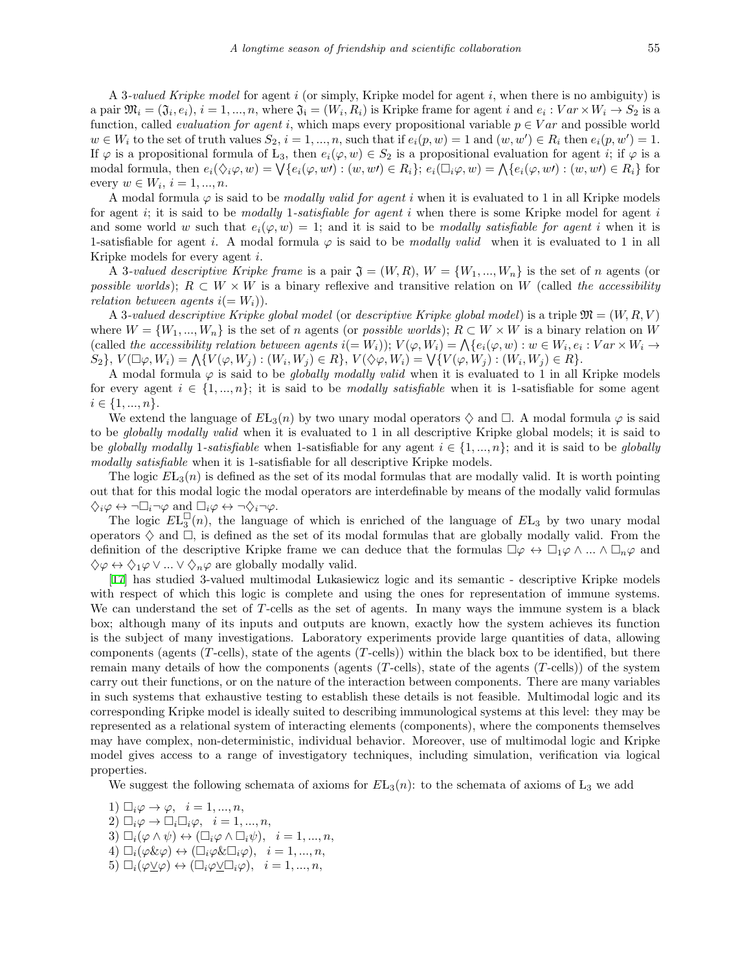A 3*-valued Kripke model* for agent *i* (or simply, Kripke model for agent *i*, when there is no ambiguity) is a pair  $\mathfrak{M}_i = (\mathfrak{J}_i, e_i), i = 1, ..., n$ , where  $\mathfrak{J}_i = (W_i, R_i)$  is Kripke frame for agent i and  $e_i : Var \times W_i \to S_2$  is a function, called *evaluation for agent i*, which maps every propositional variable  $p \in Var$  and possible world  $w \in W_i$  to the set of truth values  $S_2$ ,  $i = 1, ..., n$ , such that if  $e_i(p, w) = 1$  and  $(w, w') \in R_i$  then  $e_i(p, w') = 1$ . If  $\varphi$  is a propositional formula of L<sub>3</sub>, then  $e_i(\varphi, w) \in S_2$  is a propositional evaluation for agent *i*; if  $\varphi$  is a modal formula, then  $e_i(\Diamond_i \varphi, w) = \bigvee \{e_i(\varphi, w)\mid (w, w') \in R_i\}$ ;  $e_i(\Box_i \varphi, w) = \bigwedge \{e_i(\varphi, w')\mid (w, w') \in R_i\}$  for  $\text{every } w \in W_i, i = 1, ..., n.$ 

A modal formula *φ* is said to be *modally valid for agent i* when it is evaluated to 1 in all Kripke models for agent *i*; it is said to be *modally* 1*-satisfiable for agent i* when there is some Kripke model for agent *i* and some world *w* such that  $e_i(\varphi, w) = 1$ ; and it is said to be *modally satisfiable for agent i* when it is 1-satisfiable for agent *i*. A modal formula  $\varphi$  is said to be *modally valid* when it is evaluated to 1 in all Kripke models for every agent *i*.

A 3-valued descriptive Kripke frame is a pair  $\mathfrak{J} = (W, R), W = \{W_1, ..., W_n\}$  is the set of *n* agents (or *possible worlds*);  $R \subset W \times W$  is a binary reflexive and transitive relation on W (called *the accessibility relation between agents*  $i(= W_i)$ .

A 3*-valued descriptive Kripke global model* (or *descriptive Kripke global model*) is a triple M = (*W, R, V* ) where  $W = \{W_1, ..., W_n\}$  is the set of *n* agents (or *possible worlds*);  $R \subset W \times W$  is a binary relation on *W* (called the accessibility relation between agents  $i(=W_i)$ );  $V(\varphi, W_i) = \bigwedge \{e_i(\varphi, w) : w \in W_i, e_i : Var \times W_i \to E\}$  $\{S_2\},\,V(\Box\varphi,W_i)=\bigwedge\{V(\varphi,W_j):(W_i,W_j)\in R\},\,V(\Diamond\varphi,W_i)=\bigvee\{V(\varphi,W_j):(W_i,W_j)\in R\}.$ 

A modal formula *φ* is said to be *globally modally valid* when it is evaluated to 1 in all Kripke models for every agent  $i \in \{1, ..., n\}$ ; it is said to be *modally satisfiable* when it is 1-satisfiable for some agent *i ∈ {*1*, ..., n}*.

We extend the language of  $E_{\text{L}_3}(n)$  by two unary modal operators  $\diamondsuit$  and  $\square$ . A modal formula  $\varphi$  is said to be *globally modally valid* when it is evaluated to 1 in all descriptive Kripke global models; it is said to be *globally modally* 1-satisfiable when 1-satisfiable for any agent  $i \in \{1, ..., n\}$ ; and it is said to be *globally modally satisfiable* when it is 1-satisfiable for all descriptive Kripke models.

The logic  $E_{\text{L}_3}(n)$  is defined as the set of its modal formulas that are modally valid. It is worth pointing out that for this modal logic the modal operators are interdefinable by means of the modally valid formulas  $\diamondsuit_i \varphi \leftrightarrow \neg \Box_i \neg \varphi$  and  $\Box_i \varphi \leftrightarrow \neg \diamondsuit_i \neg \varphi$ .

The logic  $E_{3}^{\square}(n)$ , the language of which is enriched of the language of  $E_{3}$  by two unary modal operators  $\diamondsuit$  and  $\square$ , is defined as the set of its modal formulas that are globally modally valid. From the definition of the descriptive Kripke frame we can deduce that the formulas  $\Box \varphi \leftrightarrow \Box_1 \varphi \wedge ... \wedge \Box_n \varphi$  and *♢φ ↔ ♢*1*φ ∨ ... ∨ ♢nφ* are globally modally valid.

[\[17](#page-14-14)] has studied 3-valued multimodal Lukasiewicz logic and its semantic - descriptive Kripke models with respect of which this logic is complete and using the ones for representation of immune systems. We can understand the set of *T*-cells as the set of agents. In many ways the immune system is a black box; although many of its inputs and outputs are known, exactly how the system achieves its function is the subject of many investigations. Laboratory experiments provide large quantities of data, allowing components (agents (*T*-cells), state of the agents (*T*-cells)) within the black box to be identified, but there remain many details of how the components (agents (*T*-cells), state of the agents (*T*-cells)) of the system carry out their functions, or on the nature of the interaction between components. There are many variables in such systems that exhaustive testing to establish these details is not feasible. Multimodal logic and its corresponding Kripke model is ideally suited to describing immunological systems at this level: they may be represented as a relational system of interacting elements (components), where the components themselves may have complex, non-deterministic, individual behavior. Moreover, use of multimodal logic and Kripke model gives access to a range of investigatory techniques, including simulation, verification via logical properties.

We suggest the following schemata of axioms for  $E_{13}(n)$ : to the schemata of axioms of  $L_3$  we add

1)  $\Box_i \varphi \rightarrow \varphi$ ,  $i=1,...,n$ , 2)  $\square_i \varphi \to \square_i \square_i \varphi, \quad i = 1, ..., n,$ 3)  $\Box_i(\varphi \land \psi) \leftrightarrow (\Box_i \varphi \land \Box_i \psi), \quad i = 1, ..., n,$ 4)  $\Box_i(\varphi \& \varphi) \leftrightarrow (\Box_i \varphi \& \Box_i \varphi), \quad i = 1, ..., n,$  $5)$   $\Box_i(\varphi \vee \varphi) \leftrightarrow (\Box_i \varphi \vee \Box_i \varphi), \quad i = 1, ..., n,$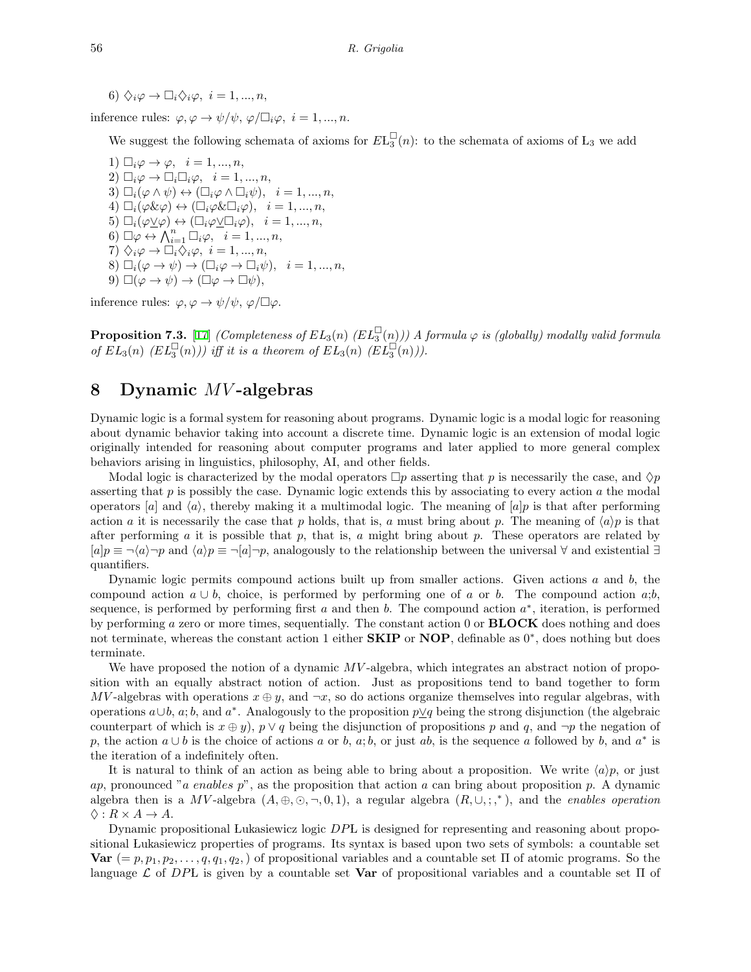6)  $\Diamond_i \varphi \rightarrow \Box_i \Diamond_i \varphi, \ i = 1, ..., n,$ 

inference rules:  $\varphi, \varphi \to \psi/\psi, \varphi/\Box_i \varphi, i = 1, ..., n$ .

We suggest the following schemata of axioms for  $E_{3}^{\square}(n)$ : to the schemata of axioms of  $L_3$  we add

1)  $\Box_i \varphi \rightarrow \varphi$ ,  $i = 1, ..., n$ , 2)  $\Box_i \varphi \to \Box_i \Box_i \varphi, \quad i = 1, ..., n,$ 3)  $\Box_i(\varphi \land \psi) \leftrightarrow (\Box_i \varphi \land \Box_i \psi), \quad i = 1, ..., n,$ 4)  $\Box_i(\varphi \& \varphi) \leftrightarrow (\Box_i \varphi \& \Box_i \varphi), \quad i = 1, ..., n,$  $5)$   $\square_i(\varphi \vee \varphi) \leftrightarrow (\square_i \varphi \vee \square_i \varphi), \quad i = 1, ..., n,$ 6)  $\Box \varphi \leftrightarrow \bigwedge_{i=1}^n \Box_i \varphi, \quad i=1,...,n,$  $7) \diamondsuit_i \varphi \rightarrow \Box_i \bar{\diamondsuit}_i \varphi, \quad i = 1, ..., n,$ 8)  $\square_i(\varphi \to \psi) \to (\square_i \varphi \to \square_i \psi), \quad i = 1, ..., n,$  $9) \Box(\varphi \to \psi) \to (\Box \varphi \to \Box \psi),$ 

inference rules:  $\varphi, \varphi \to \psi/\psi, \varphi/\Box \varphi$ .

**Proposition 7.3.** [[17\]](#page-14-14) *(Completeness of*  $EL_3(n)$  *(EL*<sup> $\sqcup$ </sup>(n)*)*) A formula  $\varphi$  *is (globally) modally valid formula of*  $EL_3(n)$   $(EL_3^{\sqcup}(n))$  *iff it is a theorem of*  $EL_3(n)$   $(EL_3^{\sqcup}(n))$ .

# **8 Dynamic** *MV* **-algebras**

Dynamic logic is a formal system for reasoning about programs. Dynamic logic is a modal logic for reasoning about dynamic behavior taking into account a discrete time. Dynamic logic is an extension of modal logic originally intended for reasoning about computer programs and later applied to more general complex behaviors arising in linguistics, philosophy, AI, and other fields.

Modal logic is characterized by the modal operators  $\Box p$  asserting that *p* is necessarily the case, and  $\Diamond p$ asserting that *p* is possibly the case. Dynamic logic extends this by associating to every action *a* the modal operators [*a*] and  $\langle a \rangle$ , thereby making it a multimodal logic. The meaning of [*a*]*p* is that after performing action *a* it is necessarily the case that *p* holds, that is, *a* must bring about *p*. The meaning of  $\langle a \rangle p$  is that after performing *a* it is possible that *p*, that is, *a* might bring about *p*. These operators are related by [*a*]*p ≡ ¬⟨a⟩¬p* and *⟨a⟩p ≡ ¬*[*a*]*¬p*, analogously to the relationship between the universal *∀* and existential *∃* quantifiers.

Dynamic logic permits compound actions built up from smaller actions. Given actions *a* and *b*, the compound action  $a \cup b$ , choice, is performed by performing one of *a* or *b*. The compound action *a*;*b*, sequence, is performed by performing first *a* and then *b*. The compound action *a ∗* , iteration, is performed by performing *a* zero or more times, sequentially. The constant action 0 or **BLOCK** does nothing and does not terminate, whereas the constant action 1 either **SKIP** or **NOP**, definable as 0*<sup>∗</sup>* , does nothing but does terminate.

We have proposed the notion of a dynamic  $MV$ -algebra, which integrates an abstract notion of proposition with an equally abstract notion of action. Just as propositions tend to band together to form *MV*-algebras with operations  $x \oplus y$ , and  $\neg x$ , so do actions organize themselves into regular algebras, with operations *a∪b*, *a*; *b*, and *a ∗* . Analogously to the proposition *p∨q* being the strong disjunction (the algebraic counterpart of which is  $x \oplus y$ ,  $p \vee q$  being the disjunction of propositions p and q, and  $\neg p$  the negation of *p*, the action  $a \cup b$  is the choice of actions *a* or *b*, *a*; *b*, or just *ab*, is the sequence *a* followed by *b*, and  $a^*$  is the iteration of a indefinitely often.

It is natural to think of an action as being able to bring about a proposition. We write  $\langle a \rangle p$ , or just *ap*, pronounced "*a enables p*", as the proposition that action *a* can bring about proposition *p*. A dynamic algebra then is a *MV*-algebra  $(A, \oplus, \odot, \neg, 0, 1)$ , a regular algebra  $(R, \cup, ; ,^*)$ , and the *enables operation*  $\Diamond: R \times A \rightarrow A$ .

Dynamic propositional Lukasiewicz logic *DP*L is designed for representing and reasoning about propositional Lukasiewicz properties of programs. Its syntax is based upon two sets of symbols: a countable set **Var**  $(= p, p_1, p_2, \ldots, q, q_1, q_2,)$  of propositional variables and a countable set  $\Pi$  of atomic programs. So the language *L* of *DP* L is given by a countable set **Var** of propositional variables and a countable set Π of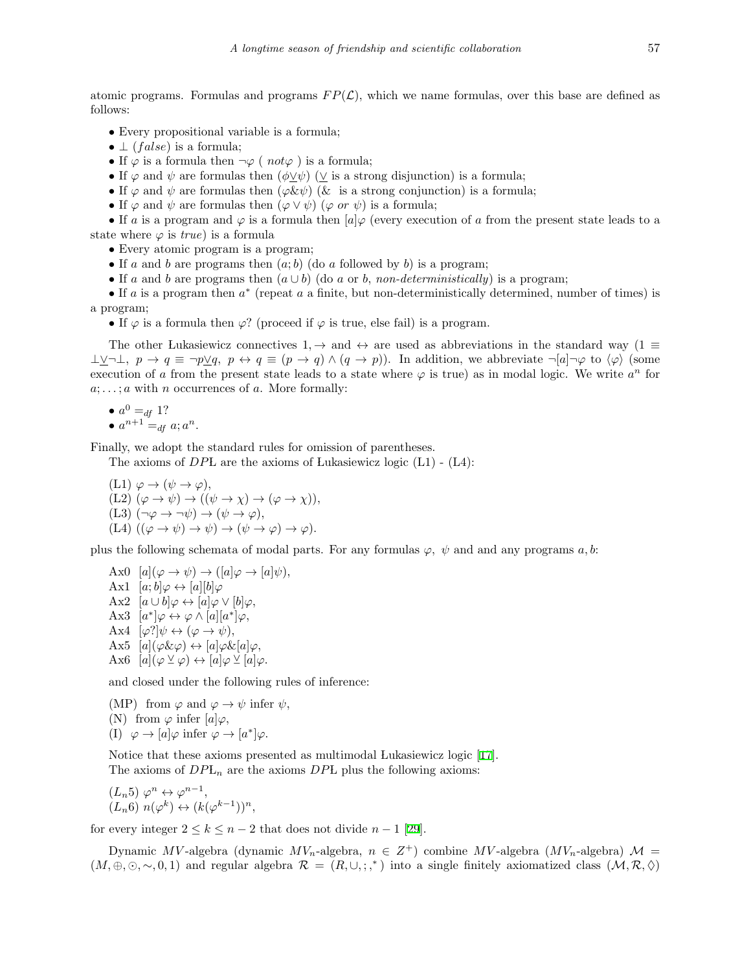atomic programs. Formulas and programs  $FP(\mathcal{L})$ , which we name formulas, over this base are defined as follows:

- *•* Every propositional variable is a formula;
- *⊥* (*f alse*) is a formula;
- If  $\varphi$  is a formula then  $\neg \varphi$  (  $not \varphi$  ) is a formula;
- If  $\varphi$  and  $\psi$  are formulas then  $(\phi \vee \psi)$  ( $\vee$  is a strong disjunction) is a formula;
- If  $\varphi$  and  $\psi$  are formulas then  $(\varphi \& \psi)$  ( $\&$  is a strong conjunction) is a formula;
- If  $\varphi$  and  $\psi$  are formulas then  $(\varphi \vee \psi)$  ( $\varphi$  *or*  $\psi$ ) is a formula;

*•* If *a* is a program and *φ* is a formula then [*a*]*φ* (every execution of *a* from the present state leads to a state where  $\varphi$  is *true*) is a formula

- Every atomic program is a program;
- If *a* and *b* are programs then  $(a, b)$  (do *a* followed by *b*) is a program;
- If *a* and *b* are programs then  $(a \cup b)$  (do *a* or *b*, *non-deterministically*) is a program;

*•* If *a* is a program then *a ∗* (repeat *a* a finite, but non-deterministically determined, number of times) is a program;

• If  $\varphi$  is a formula then  $\varphi$ ? (proceed if  $\varphi$  is true, else fail) is a program.

The other Lukasiewicz connectives 1*, →* and *↔* are used as abbreviations in the standard way (1 *≡*  $\perp \vee \perp$ ,  $p \to q \equiv \neg p \vee q$ ,  $p \leftrightarrow q \equiv (p \to q) \wedge (q \to p)$ . In addition, we abbreviate  $\neg [a] \neg \varphi$  to  $\langle \varphi \rangle$  (some execution of *a* from the present state leads to a state where  $\varphi$  is true) as in modal logic. We write  $a^n$  for *a*; *. . .* ; *a* with *n* occurrences of *a*. More formally:

$$
\bullet \ a^0 =_{df} 1?
$$
  

$$
\bullet \ a^{n+1} =_{df} a; a^n.
$$

Finally, we adopt the standard rules for omission of parentheses.

The axioms of *DP*L are the axioms of Lukasiewicz logic (L1) - (L4):

(L1) 
$$
\varphi \to (\psi \to \varphi),
$$
  
\n(L2)  $(\varphi \to \psi) \to ((\psi \to \chi) \to (\varphi \to \chi)),$   
\n(L3)  $(\neg \varphi \to \neg \psi) \to (\psi \to \varphi),$   
\n(L4)  $((\varphi \to \psi) \to \psi) \to (\psi \to \varphi) \to \varphi).$ 

plus the following schemata of modal parts. For any formulas  $\varphi$ ,  $\psi$  and and any programs *a*, *b*:

 $\text{Ax0} \quad [a](\varphi \to \psi) \to ([a]\varphi \to [a]\psi),$ Ax1  $[a; b] \varphi \leftrightarrow [a][b] \varphi$  $Ax2 \ [a \cup b] \varphi \leftrightarrow [a] \varphi \vee [b] \varphi,$  $\text{Ax3} \quad [a^*] \varphi \leftrightarrow \varphi \wedge [a][a^*] \varphi,$ Ax4  $[\varphi']\psi \leftrightarrow (\varphi \rightarrow \psi),$  $\Delta$ x5  $[a](\varphi \& \varphi) \leftrightarrow [a]\varphi \& [a]\varphi,$  $\Delta x6$   $[a](\varphi \veeeq \varphi) \leftrightarrow [a]\varphi \veeeq [a]\varphi.$ 

and closed under the following rules of inference:

(MP) from  $\varphi$  and  $\varphi \to \psi$  infer  $\psi$ , (N) from  $\varphi$  infer  $[a]\varphi$ , (I)  $\varphi \to [a] \varphi \text{ infer } \varphi \to [a^*] \varphi.$ 

Notice that these axioms presented as multimodal Lukasiewicz logic [\[17](#page-14-14)]. The axioms of  $DPL_n$  are the axioms  $DPL$  plus the following axioms:

$$
(L_n 5) \varphi^n \leftrightarrow \varphi^{n-1}, (L_n 6) n(\varphi^k) \leftrightarrow (k(\varphi^{k-1}))^n,
$$

for every integer  $2 \leq k \leq n-2$  that does not divide  $n-1$  [\[29](#page-15-4)].

Dynamic  $MV$ -algebra (dynamic  $MV_n$ -algebra,  $n \in Z^+$ ) combine  $MV$ -algebra ( $MV_n$ -algebra)  $\mathcal{M} =$  $(M, \oplus, \odot, \sim, 0, 1)$  and regular algebra  $\mathcal{R} = (R, \cup, ; ,^*)$  into a single finitely axiomatized class  $(M, \mathcal{R}, \Diamond)$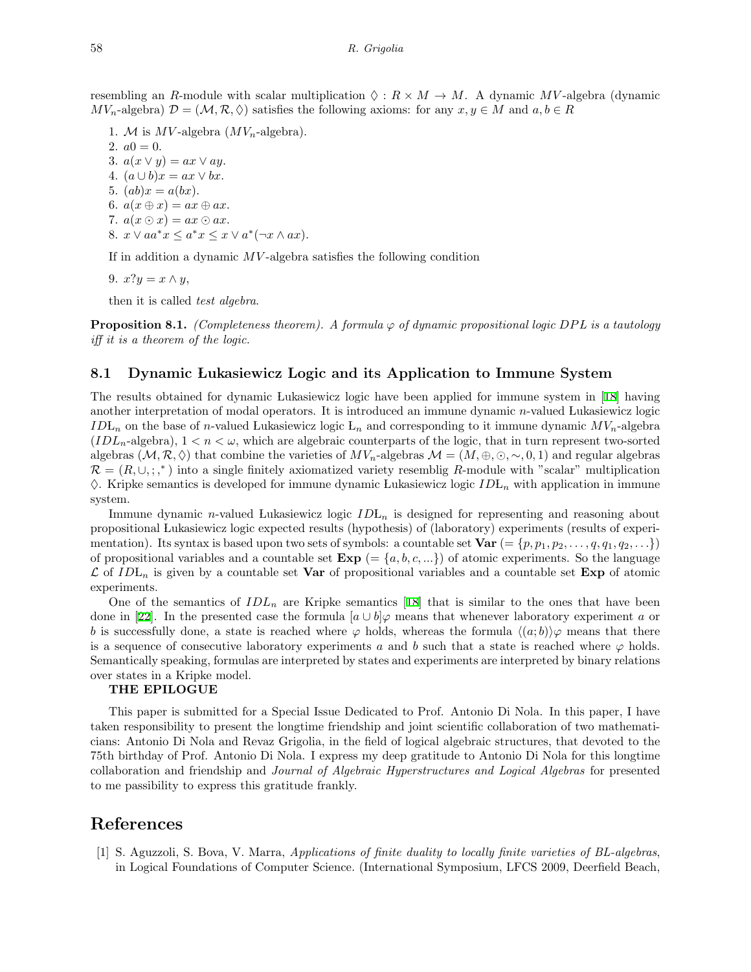resembling an *R*-module with scalar multiplication  $\Diamond : R \times M \to M$ . A dynamic *MV*-algebra (dynamic  $MV_n$ -algebra)  $\mathcal{D} = (\mathcal{M}, \mathcal{R}, \Diamond)$  satisfies the following axioms: for any  $x, y \in M$  and  $a, b \in R$ 

- 1. *M* is  $MV$ -algebra  $(MV_n$ -algebra).
- 2.  $a0 = 0$ .

3.  $a(x \vee y) = ax \vee ay$ .

- 4.  $(a \cup b)x = ax \vee bx$ .
- 5.  $(ab)x = a(bx)$ .
- 6.  $a(x \oplus x) = ax \oplus ax$ .
- 7.  $a(x \odot x) = ax \odot ax$ .
- 8.  $x \vee aa^*x \leq a^*x \leq x \vee a^*(\neg x \wedge ax).$

If in addition a dynamic *MV* -algebra satisfies the following condition

9.  $x?y = x \wedge y$ ,

then it is called *test algebra*.

**Proposition 8.1.** *(Completeness theorem). A formula*  $\varphi$  *of dynamic propositional logic DPL is a tautology iff it is a theorem of the logic.*

#### **8.1 Dynamic Lukasiewicz Logic and its Application to Immune System**

The results obtained for dynamic Lukasiewicz logic have been applied for immune system in[[18\]](#page-14-15) having another interpretation of modal operators. It is introduced an immune dynamic *n*-valued Lukasiewicz logic *ID* L<sub>n</sub> on the base of *n*-valued Lukasiewicz logic L<sub>n</sub> and corresponding to it immune dynamic  $MV_n$ -algebra  $(IDL<sub>n</sub>-algebra), 1 < n < \omega$ , which are algebraic counterparts of the logic, that in turn represent two-sorted algebras  $(M, \mathcal{R}, \Diamond)$  that combine the varieties of  $MV_n$ -algebras  $\mathcal{M} = (M, \oplus, \odot, \sim, 0, 1)$  and regular algebras  $\mathcal{R} = (R, \cup, ; , *)$  into a single finitely axiomatized variety resemblig R-module with "scalar" multiplication ♢. Kripke semantics is developed for immune dynamic Lukasiewicz logic *ID* L*<sup>n</sup>* with application in immune system.

Immune dynamic *n*-valued Lukasiewicz logic  $IDL_n$  is designed for representing and reasoning about propositional Lukasiewicz logic expected results (hypothesis) of (laboratory) experiments (results of experimentation). Its syntax is based upon two sets of symbols: a countable set  $\text{Var}$  (= { $p, p_1, p_2, \ldots, q, q_1, q_2, \ldots$ }) of propositional variables and a countable set  $\mathbf{Exp}$  (=  $\{a, b, c, ...\}$ ) of atomic experiments. So the language  $\mathcal{L}$  of *ID* L<sub>n</sub> is given by a countable set **Var** of propositional variables and a countable set **Exp** of atomic experiments.

One of the semantics of  $IDL_n$  are Kripke semantics [\[18](#page-14-15)] that is similar to the ones that have been donein [[22\]](#page-15-16). In the presented case the formula  $[a \cup b] \varphi$  means that whenever laboratory experiment *a* or *b* is successfully done, a state is reached where  $\varphi$  holds, whereas the formula  $\langle (a;b) \rangle \varphi$  means that there is a sequence of consecutive laboratory experiments *a* and *b* such that a state is reached where  $\varphi$  holds. Semantically speaking, formulas are interpreted by states and experiments are interpreted by binary relations over states in a Kripke model.

#### **THE EPILOGUE**

This paper is submitted for a Special Issue Dedicated to Prof. Antonio Di Nola. In this paper, I have taken responsibility to present the longtime friendship and joint scientific collaboration of two mathematicians: Antonio Di Nola and Revaz Grigolia, in the field of logical algebraic structures, that devoted to the 75th birthday of Prof. Antonio Di Nola. I express my deep gratitude to Antonio Di Nola for this longtime collaboration and friendship and *Journal of Algebraic Hyperstructures and Logical Algebras* for presented to me passibility to express this gratitude frankly.

# **References**

<span id="page-13-0"></span>[1] S. Aguzzoli, S. Bova, V. Marra, *Applications of finite duality to locally finite varieties of BL-algebras*, in Logical Foundations of Computer Science. (International Symposium, LFCS 2009, Deerfield Beach,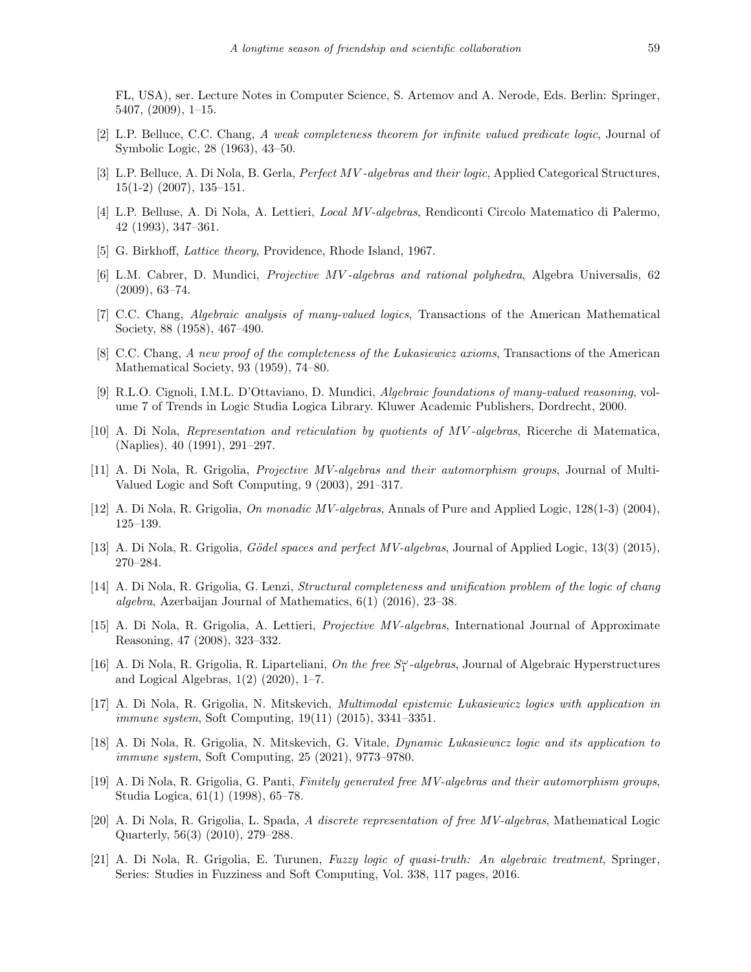FL, USA), ser. Lecture Notes in Computer Science, S. Artemov and A. Nerode, Eds. Berlin: Springer, 5407, (2009), 1–15.

- <span id="page-14-6"></span>[2] L.P. Belluce, C.C. Chang, *A weak completeness theorem for infinite valued predicate logic*, Journal of Symbolic Logic, 28 (1963), 43–50.
- <span id="page-14-5"></span>[3] L.P. Belluce, A. Di Nola, B. Gerla, *Perfect MV -algebras and their logic*, Applied Categorical Structures, 15(1-2) (2007), 135–151.
- <span id="page-14-4"></span>[4] L.P. Belluse, A. Di Nola, A. Lettieri, *Local MV-algebras*, Rendiconti Circolo Matematico di Palermo, 42 (1993), 347–361.
- <span id="page-14-16"></span>[5] G. Birkhoff, *Lattice theory*, Providence, Rhode Island, 1967.
- <span id="page-14-11"></span>[6] L.M. Cabrer, D. Mundici, *Projective MV -algebras and rational polyhedra*, Algebra Universalis, 62 (2009), 63–74.
- <span id="page-14-0"></span>[7] C.C. Chang, *Algebraic analysis of many-valued logics*, Transactions of the American Mathematical Society, 88 (1958), 467–490.
- <span id="page-14-1"></span>[8] C.C. Chang, *A new proof of the completeness of the Lukasiewicz axioms*, Transactions of the American Mathematical Society, 93 (1959), 74–80.
- <span id="page-14-3"></span>[9] R.L.O. Cignoli, I.M.L. D'Ottaviano, D. Mundici, *Algebraic foundations of many-valued reasoning*, volume 7 of Trends in Logic Studia Logica Library. Kluwer Academic Publishers, Dordrecht, 2000.
- <span id="page-14-2"></span>[10] A. Di Nola, *Representation and reticulation by quotients of MV -algebras*, Ricerche di Matematica, (Naplies), 40 (1991), 291–297.
- <span id="page-14-9"></span>[11] A. Di Nola, R. Grigolia, *Projective MV-algebras and their automorphism groups*, Journal of Multi-Valued Logic and Soft Computing, 9 (2003), 291–317.
- <span id="page-14-13"></span>[12] A. Di Nola, R. Grigolia, *On monadic MV-algebras*, Annals of Pure and Applied Logic, 128(1-3) (2004), 125–139.
- <span id="page-14-18"></span>[13] A. Di Nola, R. Grigolia, *G¨odel spaces and perfect MV-algebras*, Journal of Applied Logic, 13(3) (2015), 270–284.
- <span id="page-14-12"></span>[14] A. Di Nola, R. Grigolia, G. Lenzi, *Structural completeness and unification problem of the logic of chang algebra*, Azerbaijan Journal of Mathematics, 6(1) (2016), 23–38.
- <span id="page-14-10"></span>[15] A. Di Nola, R. Grigolia, A. Lettieri, *Projective MV-algebras*, International Journal of Approximate Reasoning, 47 (2008), 323–332.
- <span id="page-14-19"></span>[16] A. Di Nola, R. Grigolia, R. Liparteliani, *On the free*  $S_1^{\omega}$ -algebras, Journal of Algebraic Hyperstructures and Logical Algebras, 1(2) (2020), 1–7.
- <span id="page-14-14"></span>[17] A. Di Nola, R. Grigolia, N. Mitskevich, *Multimodal epistemic Lukasiewicz logics with application in immune system*, Soft Computing, 19(11) (2015), 3341–3351.
- <span id="page-14-15"></span>[18] A. Di Nola, R. Grigolia, N. Mitskevich, G. Vitale, *Dynamic Lukasiewicz logic and its application to immune system*, Soft Computing, 25 (2021), 9773–9780.
- <span id="page-14-8"></span>[19] A. Di Nola, R. Grigolia, G. Panti, *Finitely generated free MV-algebras and their automorphism groups*, Studia Logica, 61(1) (1998), 65–78.
- <span id="page-14-17"></span>[20] A. Di Nola, R. Grigolia, L. Spada, *A discrete representation of free MV-algebras*, Mathematical Logic Quarterly, 56(3) (2010), 279–288.
- <span id="page-14-7"></span>[21] A. Di Nola, R. Grigolia, E. Turunen, *Fuzzy logic of quasi-truth: An algebraic treatment*, Springer, Series: Studies in Fuzziness and Soft Computing, Vol. 338, 117 pages, 2016.